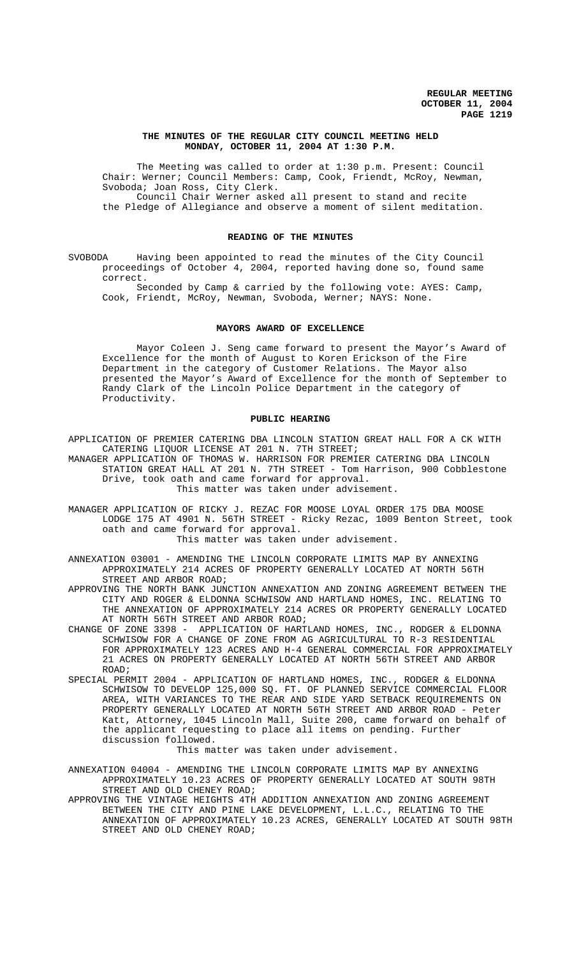### **THE MINUTES OF THE REGULAR CITY COUNCIL MEETING HELD MONDAY, OCTOBER 11, 2004 AT 1:30 P.M.**

The Meeting was called to order at 1:30 p.m. Present: Council Chair: Werner; Council Members: Camp, Cook, Friendt, McRoy, Newman, Svoboda; Joan Ross, City Clerk. Council Chair Werner asked all present to stand and recite

the Pledge of Allegiance and observe a moment of silent meditation.

#### **READING OF THE MINUTES**

SVOBODA Having been appointed to read the minutes of the City Council proceedings of October 4, 2004, reported having done so, found same correct.

Seconded by Camp & carried by the following vote: AYES: Camp, Cook, Friendt, McRoy, Newman, Svoboda, Werner; NAYS: None.

### **MAYORS AWARD OF EXCELLENCE**

Mayor Coleen J. Seng came forward to present the Mayor's Award of Excellence for the month of August to Koren Erickson of the Fire Department in the category of Customer Relations. The Mayor also presented the Mayor's Award of Excellence for the month of September to Randy Clark of the Lincoln Police Department in the category of Productivity.

#### **PUBLIC HEARING**

APPLICATION OF PREMIER CATERING DBA LINCOLN STATION GREAT HALL FOR A CK WITH CATERING LIQUOR LICENSE AT 201 N. 7TH STREET;

MANAGER APPLICATION OF THOMAS W. HARRISON FOR PREMIER CATERING DBA LINCOLN STATION GREAT HALL AT 201 N. 7TH STREET - Tom Harrison, 900 Cobblestone Drive, took oath and came forward for approval. This matter was taken under advisement.

MANAGER APPLICATION OF RICKY J. REZAC FOR MOOSE LOYAL ORDER 175 DBA MOOSE LODGE 175 AT 4901 N. 56TH STREET - Ricky Rezac, 1009 Benton Street, took oath and came forward for approval.

This matter was taken under advisement.

ANNEXATION 03001 - AMENDING THE LINCOLN CORPORATE LIMITS MAP BY ANNEXING APPROXIMATELY 214 ACRES OF PROPERTY GENERALLY LOCATED AT NORTH 56TH STREET AND ARBOR ROAD;

APPROVING THE NORTH BANK JUNCTION ANNEXATION AND ZONING AGREEMENT BETWEEN THE CITY AND ROGER & ELDONNA SCHWISOW AND HARTLAND HOMES, INC. RELATING TO THE ANNEXATION OF APPROXIMATELY 214 ACRES OR PROPERTY GENERALLY LOCATED AT NORTH 56TH STREET AND ARBOR ROAD;

- CHANGE OF ZONE 3398 APPLICATION OF HARTLAND HOMES, INC., RODGER & ELDONNA SCHWISOW FOR A CHANGE OF ZONE FROM AG AGRICULTURAL TO R-3 RESIDENTIAL FOR APPROXIMATELY 123 ACRES AND H-4 GENERAL COMMERCIAL FOR APPROXIMATELY 21 ACRES ON PROPERTY GENERALLY LOCATED AT NORTH 56TH STREET AND ARBOR ROAD;
- SPECIAL PERMIT 2004 APPLICATION OF HARTLAND HOMES, INC., RODGER & ELDONNA SCHWISOW TO DEVELOP 125,000 SQ. FT. OF PLANNED SERVICE COMMERCIAL FLOOR AREA, WITH VARIANCES TO THE REAR AND SIDE YARD SETBACK REQUIREMENTS ON PROPERTY GENERALLY LOCATED AT NORTH 56TH STREET AND ARBOR ROAD - Peter Katt, Attorney, 1045 Lincoln Mall, Suite 200, came forward on behalf of the applicant requesting to place all items on pending. Further discussion followed.

This matter was taken under advisement.

ANNEXATION 04004 - AMENDING THE LINCOLN CORPORATE LIMITS MAP BY ANNEXING APPROXIMATELY 10.23 ACRES OF PROPERTY GENERALLY LOCATED AT SOUTH 98TH STREET AND OLD CHENEY ROAD;

APPROVING THE VINTAGE HEIGHTS 4TH ADDITION ANNEXATION AND ZONING AGREEMENT BETWEEN THE CITY AND PINE LAKE DEVELOPMENT, L.L.C., RELATING TO THE ANNEXATION OF APPROXIMATELY 10.23 ACRES, GENERALLY LOCATED AT SOUTH 98TH STREET AND OLD CHENEY ROAD;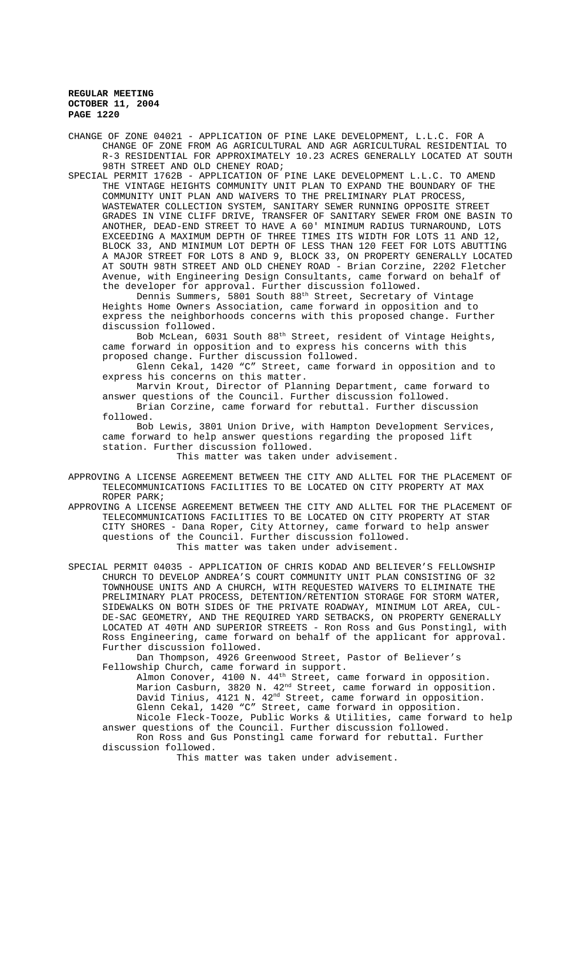CHANGE OF ZONE 04021 - APPLICATION OF PINE LAKE DEVELOPMENT, L.L.C. FOR A CHANGE OF ZONE FROM AG AGRICULTURAL AND AGR AGRICULTURAL RESIDENTIAL TO R-3 RESIDENTIAL FOR APPROXIMATELY 10.23 ACRES GENERALLY LOCATED AT SOUTH 98TH STREET AND OLD CHENEY ROAD;

SPECIAL PERMIT 1762B - APPLICATION OF PINE LAKE DEVELOPMENT L.L.C. TO AMEND THE VINTAGE HEIGHTS COMMUNITY UNIT PLAN TO EXPAND THE BOUNDARY OF THE COMMUNITY UNIT PLAN AND WAIVERS TO THE PRELIMINARY PLAT PROCESS, WASTEWATER COLLECTION SYSTEM, SANITARY SEWER RUNNING OPPOSITE STREET GRADES IN VINE CLIFF DRIVE, TRANSFER OF SANITARY SEWER FROM ONE BASIN TO ANOTHER, DEAD-END STREET TO HAVE A 60' MINIMUM RADIUS TURNAROUND, LOTS EXCEEDING A MAXIMUM DEPTH OF THREE TIMES ITS WIDTH FOR LOTS 11 AND 12, BLOCK 33, AND MINIMUM LOT DEPTH OF LESS THAN 120 FEET FOR LOTS ABUTTING A MAJOR STREET FOR LOTS 8 AND 9, BLOCK 33, ON PROPERTY GENERALLY LOCATED AT SOUTH 98TH STREET AND OLD CHENEY ROAD - Brian Corzine, 2202 Fletcher Avenue, with Engineering Design Consultants, came forward on behalf of the developer for approval. Further discussion followed.

Dennis Summers, 5801 South 88<sup>th</sup> Street, Secretary of Vintage Heights Home Owners Association, came forward in opposition and to express the neighborhoods concerns with this proposed change. Further discussion followed.

Bob McLean, 6031 South 88th Street, resident of Vintage Heights, came forward in opposition and to express his concerns with this proposed change. Further discussion followed.

Glenn Cekal, 1420 "C" Street, came forward in opposition and to express his concerns on this matter.

Marvin Krout, Director of Planning Department, came forward to answer questions of the Council. Further discussion followed.

Brian Corzine, came forward for rebuttal. Further discussion followed.

Bob Lewis, 3801 Union Drive, with Hampton Development Services, came forward to help answer questions regarding the proposed lift station. Further discussion followed.

This matter was taken under advisement.

APPROVING A LICENSE AGREEMENT BETWEEN THE CITY AND ALLTEL FOR THE PLACEMENT OF TELECOMMUNICATIONS FACILITIES TO BE LOCATED ON CITY PROPERTY AT MAX ROPER PARK;

APPROVING A LICENSE AGREEMENT BETWEEN THE CITY AND ALLTEL FOR THE PLACEMENT OF TELECOMMUNICATIONS FACILITIES TO BE LOCATED ON CITY PROPERTY AT STAR CITY SHORES - Dana Roper, City Attorney, came forward to help answer questions of the Council. Further discussion followed. This matter was taken under advisement.

SPECIAL PERMIT 04035 - APPLICATION OF CHRIS KODAD AND BELIEVER'S FELLOWSHIP CHURCH TO DEVELOP ANDREA'S COURT COMMUNITY UNIT PLAN CONSISTING OF 32 TOWNHOUSE UNITS AND A CHURCH, WITH REQUESTED WAIVERS TO ELIMINATE THE PRELIMINARY PLAT PROCESS, DETENTION/RETENTION STORAGE FOR STORM WATER, SIDEWALKS ON BOTH SIDES OF THE PRIVATE ROADWAY, MINIMUM LOT AREA, CUL-DE-SAC GEOMETRY, AND THE REQUIRED YARD SETBACKS, ON PROPERTY GENERALLY LOCATED AT 40TH AND SUPERIOR STREETS - Ron Ross and Gus Ponstingl, with Ross Engineering, came forward on behalf of the applicant for approval. Further discussion followed.

Dan Thompson, 4926 Greenwood Street, Pastor of Believer's Fellowship Church, came forward in support.

Almon Conover,  $4100 \text{ N. } 44^{\text{th}}$  Street, came forward in opposition. Marion Casburn, 3820 N.  $42^{\text{nd}}$  Street, came forward in opposition. David Tinius, 4121 N. 42<sup>nd</sup> Street, came forward in opposition. Glenn Cekal, 1420 "C" Street, came forward in opposition. Nicole Fleck-Tooze, Public Works & Utilities, came forward to help

answer questions of the Council. Further discussion followed. Ron Ross and Gus Ponstingl came forward for rebuttal. Further

discussion followed. This matter was taken under advisement.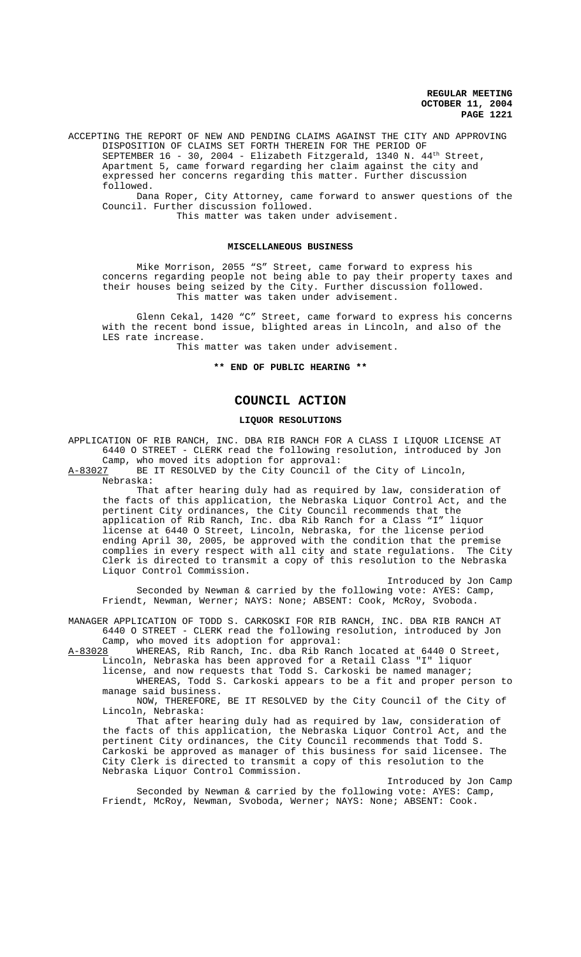ACCEPTING THE REPORT OF NEW AND PENDING CLAIMS AGAINST THE CITY AND APPROVING DISPOSITION OF CLAIMS SET FORTH THEREIN FOR THE PERIOD OF SEPTEMBER 16 - 30, 2004 - Elizabeth Fitzgerald, 1340 N. 44<sup>th</sup> Street, Apartment 5, came forward regarding her claim against the city and expressed her concerns regarding this matter. Further discussion followed.

Dana Roper, City Attorney, came forward to answer questions of the Council. Further discussion followed.

This matter was taken under advisement.

## **MISCELLANEOUS BUSINESS**

Mike Morrison, 2055 "S" Street, came forward to express his concerns regarding people not being able to pay their property taxes and their houses being seized by the City. Further discussion followed. This matter was taken under advisement.

Glenn Cekal, 1420 "C" Street, came forward to express his concerns with the recent bond issue, blighted areas in Lincoln, and also of the LES rate increase.

This matter was taken under advisement.

**\*\* END OF PUBLIC HEARING \*\***

# **COUNCIL ACTION**

#### **LIQUOR RESOLUTIONS**

APPLICATION OF RIB RANCH, INC. DBA RIB RANCH FOR A CLASS I LIQUOR LICENSE AT 6440 O STREET - CLERK read the following resolution, introduced by Jon

Camp, who moved its adoption for approval:<br>A-83027 BE IT RESOLVED by the City Council o BE IT RESOLVED by the City Council of the City of Lincoln, Nebraska:

That after hearing duly had as required by law, consideration of the facts of this application, the Nebraska Liquor Control Act, and the pertinent City ordinances, the City Council recommends that the application of Rib Ranch, Inc. dba Rib Ranch for a Class "I" liquor license at 6440 O Street, Lincoln, Nebraska, for the license period ending April 30, 2005, be approved with the condition that the premise complies in every respect with all city and state regulations. The City Clerk is directed to transmit a copy of this resolution to the Nebraska Liquor Control Commission.

Introduced by Jon Camp Seconded by Newman & carried by the following vote: AYES: Camp, Friendt, Newman, Werner; NAYS: None; ABSENT: Cook, McRoy, Svoboda.

MANAGER APPLICATION OF TODD S. CARKOSKI FOR RIB RANCH, INC. DBA RIB RANCH AT 6440 O STREET - CLERK read the following resolution, introduced by Jon

Camp, who moved its adoption for approval:<br>A-83028 WHEREAS, Rib Ranch, Inc. dba Rib Ran WHEREAS, Rib Ranch, Inc. dba Rib Ranch located at 6440 O Street, Lincoln, Nebraska has been approved for a Retail Class "I" liquor

license, and now requests that Todd S. Carkoski be named manager;

WHEREAS, Todd S. Carkoski appears to be a fit and proper person to manage said business.

NOW, THEREFORE, BE IT RESOLVED by the City Council of the City of Lincoln, Nebraska:

That after hearing duly had as required by law, consideration of the facts of this application, the Nebraska Liquor Control Act, and the pertinent City ordinances, the City Council recommends that Todd S. Carkoski be approved as manager of this business for said licensee. The City Clerk is directed to transmit a copy of this resolution to the Nebraska Liquor Control Commission.

Introduced by Jon Camp Seconded by Newman & carried by the following vote: AYES: Camp, Friendt, McRoy, Newman, Svoboda, Werner; NAYS: None; ABSENT: Cook.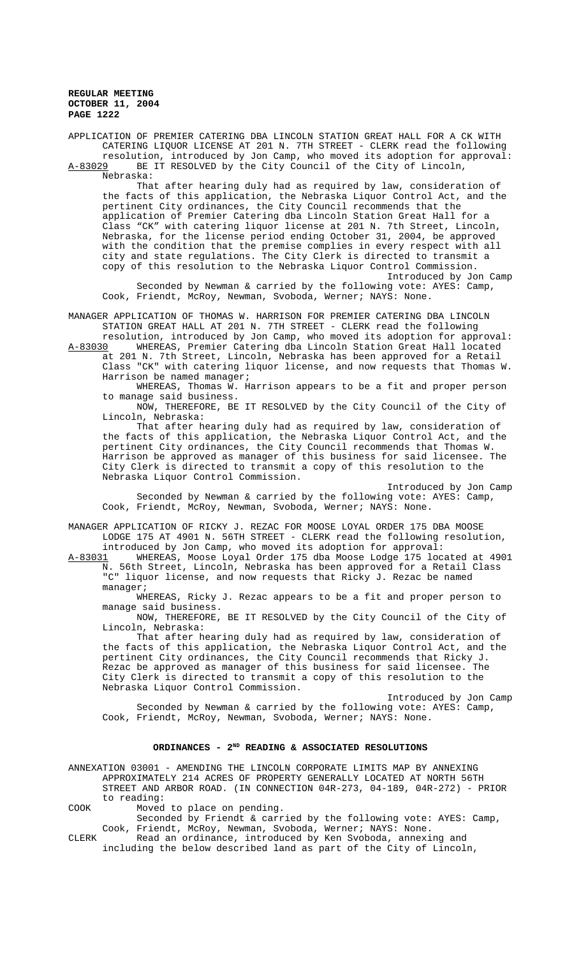APPLICATION OF PREMIER CATERING DBA LINCOLN STATION GREAT HALL FOR A CK WITH CATERING LIQUOR LICENSE AT 201 N. 7TH STREET - CLERK read the following resolution, introduced by Jon Camp, who moved its adoption for approval:<br>A-83029 BE IT RESOLVED by the City Council of the City of Lincoln, BE IT RESOLVED by the City Council of the City of Lincoln, Nebraska:

That after hearing duly had as required by law, consideration of the facts of this application, the Nebraska Liquor Control Act, and the pertinent City ordinances, the City Council recommends that the application of Premier Catering dba Lincoln Station Great Hall for a Class "CK" with catering liquor license at 201 N. 7th Street, Lincoln, Nebraska, for the license period ending October 31, 2004, be approved with the condition that the premise complies in every respect with all city and state regulations. The City Clerk is directed to transmit a copy of this resolution to the Nebraska Liquor Control Commission. Introduced by Jon Camp

Seconded by Newman & carried by the following vote: AYES: Camp, Cook, Friendt, McRoy, Newman, Svoboda, Werner; NAYS: None.

MANAGER APPLICATION OF THOMAS W. HARRISON FOR PREMIER CATERING DBA LINCOLN STATION GREAT HALL AT 201 N. 7TH STREET - CLERK read the following

resolution, introduced by Jon Camp, who moved its adoption for approval:<br>A-83030 WHEREAS, Premier Catering dba Lincoln Station Great Hall located WHEREAS, Premier Catering dba Lincoln Station Great Hall located at 201 N. 7th Street, Lincoln, Nebraska has been approved for a Retail Class "CK" with catering liquor license, and now requests that Thomas W. Harrison be named manager;

WHEREAS, Thomas W. Harrison appears to be a fit and proper person to manage said business.

NOW, THEREFORE, BE IT RESOLVED by the City Council of the City of Lincoln, Nebraska:

That after hearing duly had as required by law, consideration of the facts of this application, the Nebraska Liquor Control Act, and the pertinent City ordinances, the City Council recommends that Thomas W. Harrison be approved as manager of this business for said licensee. The City Clerk is directed to transmit a copy of this resolution to the Nebraska Liquor Control Commission.

Introduced by Jon Camp Seconded by Newman & carried by the following vote: AYES: Camp, Cook, Friendt, McRoy, Newman, Svoboda, Werner; NAYS: None.

MANAGER APPLICATION OF RICKY J. REZAC FOR MOOSE LOYAL ORDER 175 DBA MOOSE LODGE 175 AT 4901 N. 56TH STREET - CLERK read the following resolution, introduced by Jon Camp, who moved its adoption for approval:

A-83031 WHEREAS, Moose Loyal Order 175 dba Moose Lodge 175 located at 4901 N. 56th Street, Lincoln, Nebraska has been approved for a Retail Class "C" liquor license, and now requests that Ricky J. Rezac be named manager;

WHEREAS, Ricky J. Rezac appears to be a fit and proper person to manage said business.

NOW, THEREFORE, BE IT RESOLVED by the City Council of the City of Lincoln, Nebraska:

That after hearing duly had as required by law, consideration of the facts of this application, the Nebraska Liquor Control Act, and the pertinent City ordinances, the City Council recommends that Ricky J. Rezac be approved as manager of this business for said licensee. The City Clerk is directed to transmit a copy of this resolution to the Nebraska Liquor Control Commission.

Introduced by Jon Camp Seconded by Newman & carried by the following vote: AYES: Camp, Cook, Friendt, McRoy, Newman, Svoboda, Werner; NAYS: None.

# ORDINANCES - 2<sup>ND</sup> READING & ASSOCIATED RESOLUTIONS

ANNEXATION 03001 - AMENDING THE LINCOLN CORPORATE LIMITS MAP BY ANNEXING APPROXIMATELY 214 ACRES OF PROPERTY GENERALLY LOCATED AT NORTH 56TH STREET AND ARBOR ROAD. (IN CONNECTION 04R-273, 04-189, 04R-272) - PRIOR to reading:

COOK Moved to place on pending.

Seconded by Friendt & carried by the following vote: AYES: Camp, Cook, Friendt, McRoy, Newman, Svoboda, Werner; NAYS: None.

CLERK Read an ordinance, introduced by Ken Svoboda, annexing and including the below described land as part of the City of Lincoln,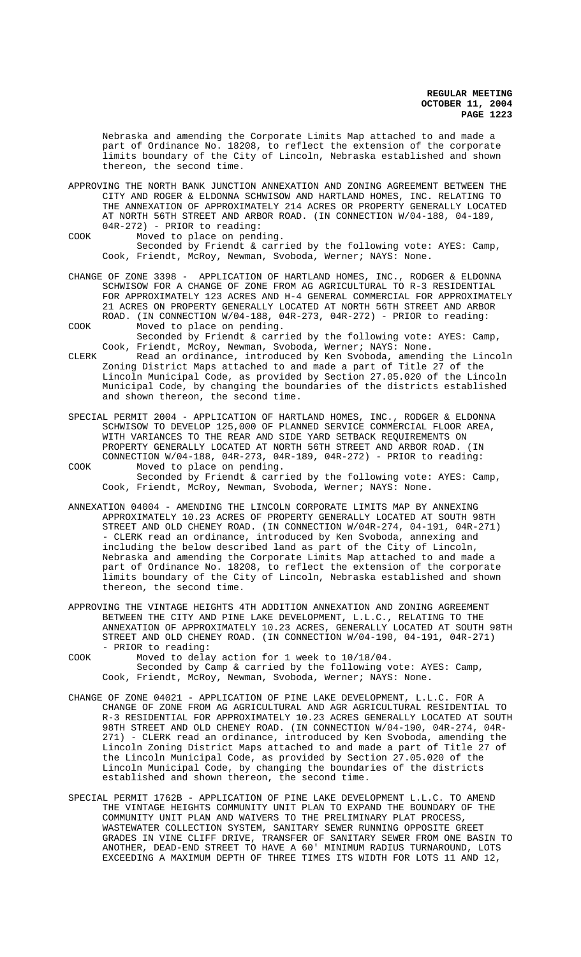Nebraska and amending the Corporate Limits Map attached to and made a part of Ordinance No. 18208, to reflect the extension of the corporate limits boundary of the City of Lincoln, Nebraska established and shown thereon, the second time.

- APPROVING THE NORTH BANK JUNCTION ANNEXATION AND ZONING AGREEMENT BETWEEN THE CITY AND ROGER & ELDONNA SCHWISOW AND HARTLAND HOMES, INC. RELATING TO THE ANNEXATION OF APPROXIMATELY 214 ACRES OR PROPERTY GENERALLY LOCATED AT NORTH 56TH STREET AND ARBOR ROAD. (IN CONNECTION W/04-188, 04-189, 04R-272) - PRIOR to reading:
- COOK Moved to place on pending. Seconded by Friendt & carried by the following vote: AYES: Camp, Cook, Friendt, McRoy, Newman, Svoboda, Werner; NAYS: None.
- CHANGE OF ZONE 3398 APPLICATION OF HARTLAND HOMES, INC., RODGER & ELDONNA SCHWISOW FOR A CHANGE OF ZONE FROM AG AGRICULTURAL TO R-3 RESIDENTIAL FOR APPROXIMATELY 123 ACRES AND H-4 GENERAL COMMERCIAL FOR APPROXIMATELY 21 ACRES ON PROPERTY GENERALLY LOCATED AT NORTH 56TH STREET AND ARBOR ROAD. (IN CONNECTION W/04-188, 04R-273, 04R-272) - PRIOR to reading: COOK Moved to place on pending.
- Seconded by Friendt & carried by the following vote: AYES: Camp, Cook, Friendt, McRoy, Newman, Svoboda, Werner; NAYS: None.
- CLERK Read an ordinance, introduced by Ken Svoboda, amending the Lincoln Zoning District Maps attached to and made a part of Title 27 of the Lincoln Municipal Code, as provided by Section 27.05.020 of the Lincoln Municipal Code, by changing the boundaries of the districts established and shown thereon, the second time.
- SPECIAL PERMIT 2004 APPLICATION OF HARTLAND HOMES, INC., RODGER & ELDONNA SCHWISOW TO DEVELOP 125,000 OF PLANNED SERVICE COMMERCIAL FLOOR AREA, WITH VARIANCES TO THE REAR AND SIDE YARD SETBACK REQUIREMENTS ON PROPERTY GENERALLY LOCATED AT NORTH 56TH STREET AND ARBOR ROAD. (IN CONNECTION W/04-188, 04R-273, 04R-189, 04R-272) - PRIOR to reading:
- COOK Moved to place on pending. Seconded by Friendt & carried by the following vote: AYES: Camp, Cook, Friendt, McRoy, Newman, Svoboda, Werner; NAYS: None.
- ANNEXATION 04004 AMENDING THE LINCOLN CORPORATE LIMITS MAP BY ANNEXING APPROXIMATELY 10.23 ACRES OF PROPERTY GENERALLY LOCATED AT SOUTH 98TH STREET AND OLD CHENEY ROAD. (IN CONNECTION W/04R-274, 04-191, 04R-271) - CLERK read an ordinance, introduced by Ken Svoboda, annexing and including the below described land as part of the City of Lincoln, Nebraska and amending the Corporate Limits Map attached to and made a part of Ordinance No. 18208, to reflect the extension of the corporate limits boundary of the City of Lincoln, Nebraska established and shown thereon, the second time.
- APPROVING THE VINTAGE HEIGHTS 4TH ADDITION ANNEXATION AND ZONING AGREEMENT BETWEEN THE CITY AND PINE LAKE DEVELOPMENT, L.L.C., RELATING TO THE ANNEXATION OF APPROXIMATELY 10.23 ACRES, GENERALLY LOCATED AT SOUTH 98TH STREET AND OLD CHENEY ROAD. (IN CONNECTION W/04-190, 04-191, 04R-271) - PRIOR to reading:
- COOK Moved to delay action for 1 week to 10/18/04. Seconded by Camp & carried by the following vote: AYES: Camp, Cook, Friendt, McRoy, Newman, Svoboda, Werner; NAYS: None.
- CHANGE OF ZONE 04021 APPLICATION OF PINE LAKE DEVELOPMENT, L.L.C. FOR A CHANGE OF ZONE FROM AG AGRICULTURAL AND AGR AGRICULTURAL RESIDENTIAL TO R-3 RESIDENTIAL FOR APPROXIMATELY 10.23 ACRES GENERALLY LOCATED AT SOUTH 98TH STREET AND OLD CHENEY ROAD. (IN CONNECTION W/04-190, 04R-274, 04R-271) - CLERK read an ordinance, introduced by Ken Svoboda, amending the Lincoln Zoning District Maps attached to and made a part of Title 27 of the Lincoln Municipal Code, as provided by Section 27.05.020 of the Lincoln Municipal Code, by changing the boundaries of the districts established and shown thereon, the second time.
- SPECIAL PERMIT 1762B APPLICATION OF PINE LAKE DEVELOPMENT L.L.C. TO AMEND THE VINTAGE HEIGHTS COMMUNITY UNIT PLAN TO EXPAND THE BOUNDARY OF THE COMMUNITY UNIT PLAN AND WAIVERS TO THE PRELIMINARY PLAT PROCESS, WASTEWATER COLLECTION SYSTEM, SANITARY SEWER RUNNING OPPOSITE GREET GRADES IN VINE CLIFF DRIVE, TRANSFER OF SANITARY SEWER FROM ONE BASIN TO ANOTHER, DEAD-END STREET TO HAVE A 60' MINIMUM RADIUS TURNAROUND, LOTS EXCEEDING A MAXIMUM DEPTH OF THREE TIMES ITS WIDTH FOR LOTS 11 AND 12,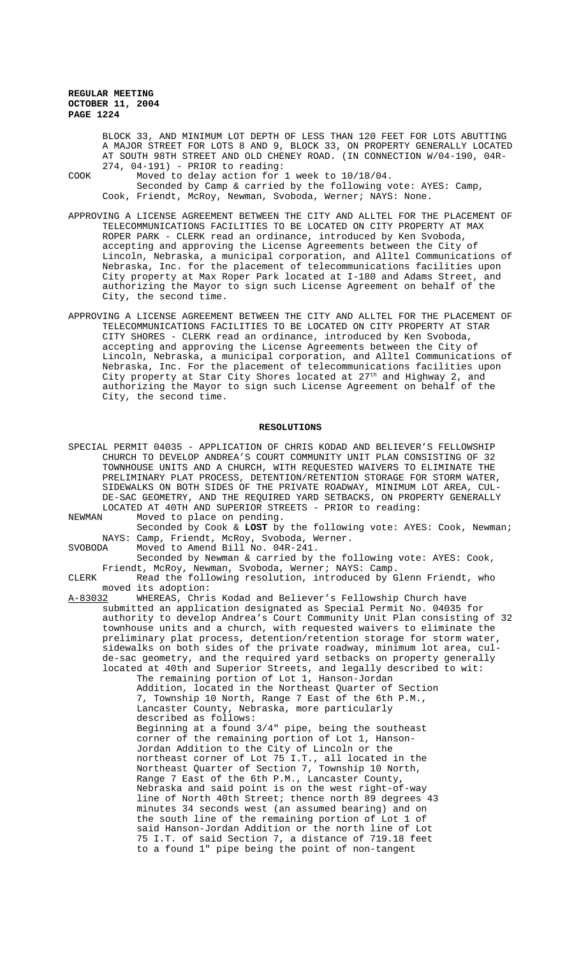BLOCK 33, AND MINIMUM LOT DEPTH OF LESS THAN 120 FEET FOR LOTS ABUTTING A MAJOR STREET FOR LOTS 8 AND 9, BLOCK 33, ON PROPERTY GENERALLY LOCATED AT SOUTH 98TH STREET AND OLD CHENEY ROAD. (IN CONNECTION W/04-190, 04R-274, 04-191) - PRIOR to reading:

COOK Moved to delay action for 1 week to 10/18/04. Seconded by Camp & carried by the following vote: AYES: Camp, Cook, Friendt, McRoy, Newman, Svoboda, Werner; NAYS: None.

- APPROVING A LICENSE AGREEMENT BETWEEN THE CITY AND ALLTEL FOR THE PLACEMENT OF TELECOMMUNICATIONS FACILITIES TO BE LOCATED ON CITY PROPERTY AT MAX ROPER PARK - CLERK read an ordinance, introduced by Ken Svoboda, accepting and approving the License Agreements between the City of Lincoln, Nebraska, a municipal corporation, and Alltel Communications of Nebraska, Inc. for the placement of telecommunications facilities upon City property at Max Roper Park located at I-180 and Adams Street, and authorizing the Mayor to sign such License Agreement on behalf of the City, the second time.
- APPROVING A LICENSE AGREEMENT BETWEEN THE CITY AND ALLTEL FOR THE PLACEMENT OF TELECOMMUNICATIONS FACILITIES TO BE LOCATED ON CITY PROPERTY AT STAR CITY SHORES - CLERK read an ordinance, introduced by Ken Svoboda, accepting and approving the License Agreements between the City of Lincoln, Nebraska, a municipal corporation, and Alltel Communications of Nebraska, Inc. For the placement of telecommunications facilities upon City property at Star City Shores located at 27<sup>th</sup> and Highway 2, and authorizing the Mayor to sign such License Agreement on behalf of the City, the second time.

### **RESOLUTIONS**

SPECIAL PERMIT 04035 - APPLICATION OF CHRIS KODAD AND BELIEVER'S FELLOWSHIP CHURCH TO DEVELOP ANDREA'S COURT COMMUNITY UNIT PLAN CONSISTING OF 32 TOWNHOUSE UNITS AND A CHURCH, WITH REQUESTED WAIVERS TO ELIMINATE THE PRELIMINARY PLAT PROCESS, DETENTION/RETENTION STORAGE FOR STORM WATER, SIDEWALKS ON BOTH SIDES OF THE PRIVATE ROADWAY, MINIMUM LOT AREA, CUL-DE-SAC GEOMETRY, AND THE REQUIRED YARD SETBACKS, ON PROPERTY GENERALLY LOCATED AT 40TH AND SUPERIOR STREETS - PRIOR to reading:<br>NEWMAN Moved to place on pending. NEWMAN Moved to place on pending. Seconded by Cook & **LOST** by the following vote: AYES: Cook, Newman; NAYS: Camp, Friendt, McRoy, Svoboda, Werner.<br>SVOBODA Moved to Amend Bill No. 04R-241. Moved to Amend Bill No. 04R-241. Seconded by Newman & carried by the following vote: AYES: Cook, Friendt, McRoy, Newman, Svoboda, Werner; NAYS: Camp. CLERK Read the following resolution, introduced by Glenn Friendt, who moved its adoption:<br><u>A-83032</u> WHEREAS, Chri WHEREAS, Chris Kodad and Believer's Fellowship Church have submitted an application designated as Special Permit No. 04035 for authority to develop Andrea's Court Community Unit Plan consisting of 32 townhouse units and a church, with requested waivers to eliminate the preliminary plat process, detention/retention storage for storm water, sidewalks on both sides of the private roadway, minimum lot area, culde-sac geometry, and the required yard setbacks on property generally located at 40th and Superior Streets, and legally described to wit: The remaining portion of Lot 1, Hanson-Jordan Addition, located in the Northeast Quarter of Section 7, Township 10 North, Range 7 East of the 6th P.M., Lancaster County, Nebraska, more particularly described as follows: Beginning at a found 3/4" pipe, being the southeast corner of the remaining portion of Lot 1, Hanson-Jordan Addition to the City of Lincoln or the northeast corner of Lot 75 I.T., all located in the Northeast Quarter of Section 7, Township 10 North, Range 7 East of the 6th P.M., Lancaster County, Nebraska and said point is on the west right-of-way line of North 40th Street; thence north 89 degrees 43 minutes 34 seconds west (an assumed bearing) and on the south line of the remaining portion of Lot 1 of said Hanson-Jordan Addition or the north line of Lot 75 I.T. of said Section 7, a distance of 719.18 feet to a found 1" pipe being the point of non-tangent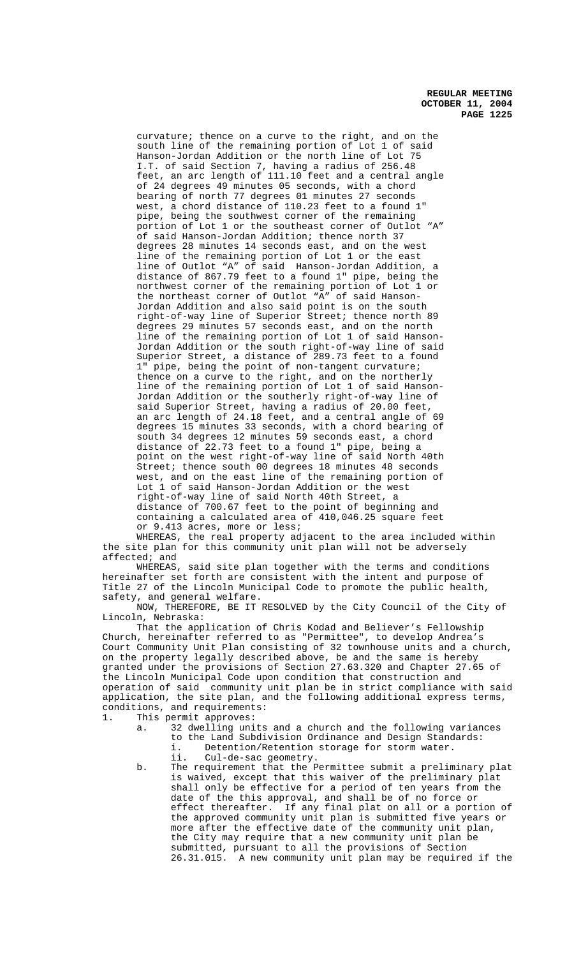curvature; thence on a curve to the right, and on the south line of the remaining portion of Lot 1 of said Hanson-Jordan Addition or the north line of Lot 75 I.T. of said Section 7, having a radius of 256.48 feet, an arc length of 111.10 feet and a central angle of 24 degrees 49 minutes 05 seconds, with a chord bearing of north 77 degrees 01 minutes 27 seconds west, a chord distance of 110.23 feet to a found 1" pipe, being the southwest corner of the remaining portion of Lot 1 or the southeast corner of Outlot "A" of said Hanson-Jordan Addition; thence north 37 degrees 28 minutes 14 seconds east, and on the west line of the remaining portion of Lot 1 or the east inc of outlot "A" of said Hanson-Jordan Addition, distance of 867.79 feet to a found 1" pipe, being the northwest corner of the remaining portion of Lot 1 or the northeast corner of Outlot "A" of said Hanson-Jordan Addition and also said point is on the south right-of-way line of Superior Street; thence north 89 degrees 29 minutes 57 seconds east, and on the north line of the remaining portion of Lot 1 of said Hanson-Jordan Addition or the south right-of-way line of said Superior Street, a distance of 289.73 feet to a found 1" pipe, being the point of non-tangent curvature; thence on a curve to the right, and on the northerly line of the remaining portion of Lot 1 of said Hanson-Jordan Addition or the southerly right-of-way line of said Superior Street, having a radius of 20.00 feet, an arc length of 24.18 feet, and a central angle of 69 degrees 15 minutes 33 seconds, with a chord bearing of south 34 degrees 12 minutes 59 seconds east, a chord distance of 22.73 feet to a found 1" pipe, being a point on the west right-of-way line of said North 40th Street; thence south 00 degrees 18 minutes 48 seconds west, and on the east line of the remaining portion of Lot 1 of said Hanson-Jordan Addition or the west right-of-way line of said North 40th Street, a distance of 700.67 feet to the point of beginning and containing a calculated area of 410,046.25 square feet or 9.413 acres, more or less;

WHEREAS, the real property adjacent to the area included within the site plan for this community unit plan will not be adversely affected; and

WHEREAS, said site plan together with the terms and conditions hereinafter set forth are consistent with the intent and purpose of Title 27 of the Lincoln Municipal Code to promote the public health, safety, and general welfare.

NOW, THEREFORE, BE IT RESOLVED by the City Council of the City of Lincoln, Nebraska:

That the application of Chris Kodad and Believer's Fellowship Church, hereinafter referred to as "Permittee", to develop Andrea's Court Community Unit Plan consisting of 32 townhouse units and a church, on the property legally described above, be and the same is hereby granted under the provisions of Section 27.63.320 and Chapter 27.65 of the Lincoln Municipal Code upon condition that construction and operation of said community unit plan be in strict compliance with said application, the site plan, and the following additional express terms, conditions, and requirements:<br>1. This permit approves:

This permit approves:<br>a. 32 dwelling uni

- 32 dwelling units and a church and the following variances to the Land Subdivision Ordinance and Design Standards: i. Detention/Retention storage for storm water.
- ii. Cul-de-sac geometry. b. The requirement that the Permittee submit a preliminary plat is waived, except that this waiver of the preliminary plat shall only be effective for a period of ten years from the date of the this approval, and shall be of no force or effect thereafter. If any final plat on all or a portion of the approved community unit plan is submitted five years or more after the effective date of the community unit plan, the City may require that a new community unit plan be submitted, pursuant to all the provisions of Section 26.31.015. A new community unit plan may be required if the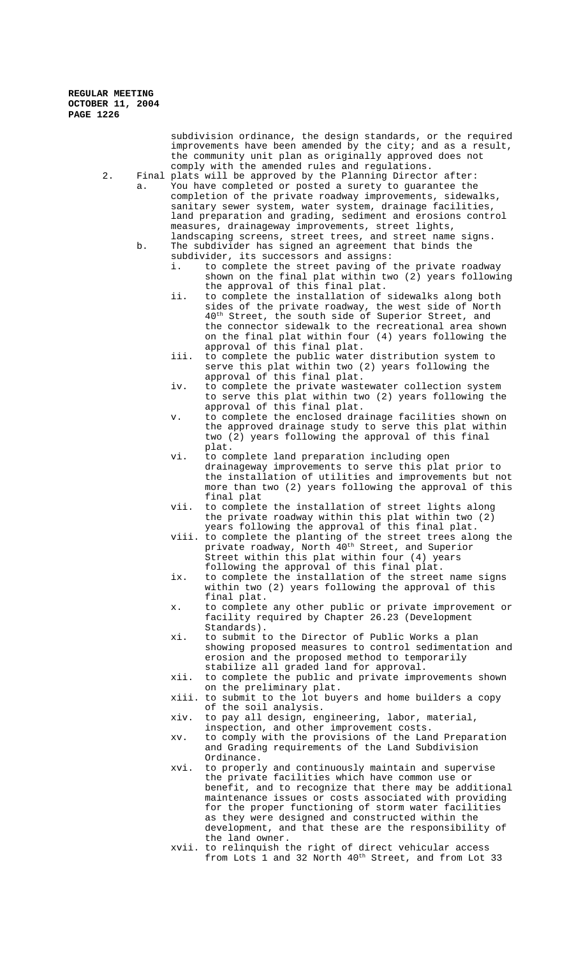subdivision ordinance, the design standards, or the required improvements have been amended by the city; and as a result, the community unit plan as originally approved does not comply with the amended rules and regulations.

2. Final plats will be approved by the Planning Director after: a. You have completed or posted a surety to guarantee the completion of the private roadway improvements, sidewalks, sanitary sewer system, water system, drainage facilities, land preparation and grading, sediment and erosions control measures, drainageway improvements, street lights, landscaping screens, street trees, and street name signs.

- b. The subdivider has signed an agreement that binds the subdivider, its successors and assigns:
	- i. to complete the street paving of the private roadway shown on the final plat within two (2) years following the approval of this final plat.
	- ii. to complete the installation of sidewalks along both sides of the private roadway, the west side of North  $40<sup>th</sup>$  Street, the south side of Superior Street, and the connector sidewalk to the recreational area shown on the final plat within four (4) years following the approval of this final plat.
	- iii. to complete the public water distribution system to serve this plat within two (2) years following the approval of this final plat.
	- iv. to complete the private wastewater collection system to serve this plat within two (2) years following the approval of this final plat.
	- v. to complete the enclosed drainage facilities shown on the approved drainage study to serve this plat within two (2) years following the approval of this final plat.
	- vi. to complete land preparation including open drainageway improvements to serve this plat prior to the installation of utilities and improvements but not more than two (2) years following the approval of this final plat
	- vii. to complete the installation of street lights along the private roadway within this plat within two (2) years following the approval of this final plat.
	- viii. to complete the planting of the street trees along the private roadway, North 40th Street, and Superior Street within this plat within four (4) years following the approval of this final plat.
	- ix. to complete the installation of the street name signs within two (2) years following the approval of this final plat.
	- x. to complete any other public or private improvement or facility required by Chapter 26.23 (Development Standards).
	- xi. to submit to the Director of Public Works a plan showing proposed measures to control sedimentation and erosion and the proposed method to temporarily stabilize all graded land for approval.
	- xii. to complete the public and private improvements shown on the preliminary plat.
	- xiii. to submit to the lot buyers and home builders a copy of the soil analysis.
	- xiv. to pay all design, engineering, labor, material, inspection, and other improvement costs.
	- xv. to comply with the provisions of the Land Preparation and Grading requirements of the Land Subdivision Ordinance.
	- xvi. to properly and continuously maintain and supervise the private facilities which have common use or benefit, and to recognize that there may be additional maintenance issues or costs associated with providing for the proper functioning of storm water facilities as they were designed and constructed within the development, and that these are the responsibility of the land owner.
	- xvii. to relinquish the right of direct vehicular access from Lots 1 and 32 North 40<sup>th</sup> Street, and from Lot 33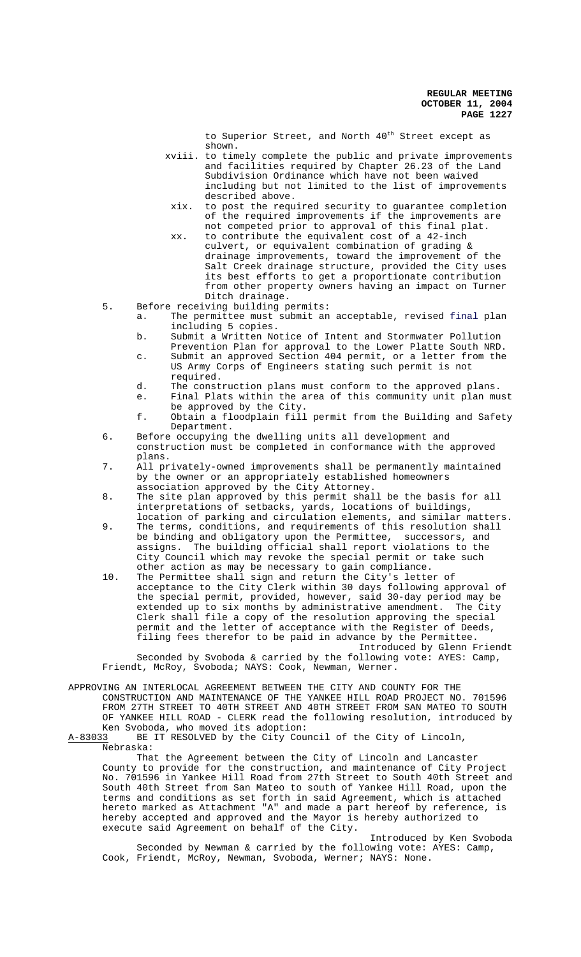to Superior Street, and North 40<sup>th</sup> Street except as shown.

- xviii. to timely complete the public and private improvements and facilities required by Chapter 26.23 of the Land Subdivision Ordinance which have not been waived including but not limited to the list of improvements described above.
- xix. to post the required security to guarantee completion of the required improvements if the improvements are not competed prior to approval of this final plat.
- xx. to contribute the equivalent cost of a 42-inch culvert, or equivalent combination of grading & drainage improvements, toward the improvement of the Salt Creek drainage structure, provided the City uses its best efforts to get a proportionate contribution from other property owners having an impact on Turner Ditch drainage.
- 5. Before receiving building permits:
	- a. The permittee must submit an acceptable, revised final plan including 5 copies.
	- b. Submit a Written Notice of Intent and Stormwater Pollution Prevention Plan for approval to the Lower Platte South NRD.
	- c. Submit an approved Section 404 permit, or a letter from the US Army Corps of Engineers stating such permit is not required.
	- d. The construction plans must conform to the approved plans.
	- e. Final Plats within the area of this community unit plan must be approved by the City.
	- f. Obtain a floodplain fill permit from the Building and Safety Department.
- 6. Before occupying the dwelling units all development and construction must be completed in conformance with the approved plans.
- 7. All privately-owned improvements shall be permanently maintained by the owner or an appropriately established homeowners association approved by the City Attorney.
- 8. The site plan approved by this permit shall be the basis for all interpretations of setbacks, yards, locations of buildings, location of parking and circulation elements, and similar matters.
- 9. The terms, conditions, and requirements of this resolution shall be binding and obligatory upon the Permittee, successors, and assigns. The building official shall report violations to the City Council which may revoke the special permit or take such other action as may be necessary to gain compliance.
- 10. The Permittee shall sign and return the City's letter of acceptance to the City Clerk within 30 days following approval of the special permit, provided, however, said 30-day period may be extended up to six months by administrative amendment. The City Clerk shall file a copy of the resolution approving the special permit and the letter of acceptance with the Register of Deeds, filing fees therefor to be paid in advance by the Permittee.

Introduced by Glenn Friendt Seconded by Svoboda & carried by the following vote: AYES: Camp, Friendt, McRoy, Svoboda; NAYS: Cook, Newman, Werner.

APPROVING AN INTERLOCAL AGREEMENT BETWEEN THE CITY AND COUNTY FOR THE CONSTRUCTION AND MAINTENANCE OF THE YANKEE HILL ROAD PROJECT NO. 701596 FROM 27TH STREET TO 40TH STREET AND 40TH STREET FROM SAN MATEO TO SOUTH OF YANKEE HILL ROAD - CLERK read the following resolution, introduced by

Ken Svoboda, who moved its adoption:<br>A-83033 BE IT RESOLVED by the City Cour BE IT RESOLVED by the City Council of the City of Lincoln, Nebraska:

That the Agreement between the City of Lincoln and Lancaster County to provide for the construction, and maintenance of City Project No. 701596 in Yankee Hill Road from 27th Street to South 40th Street and South 40th Street from San Mateo to south of Yankee Hill Road, upon the terms and conditions as set forth in said Agreement, which is attached hereto marked as Attachment "A" and made a part hereof by reference, is hereby accepted and approved and the Mayor is hereby authorized to execute said Agreement on behalf of the City.

Introduced by Ken Svoboda Seconded by Newman & carried by the following vote: AYES: Camp, Cook, Friendt, McRoy, Newman, Svoboda, Werner; NAYS: None.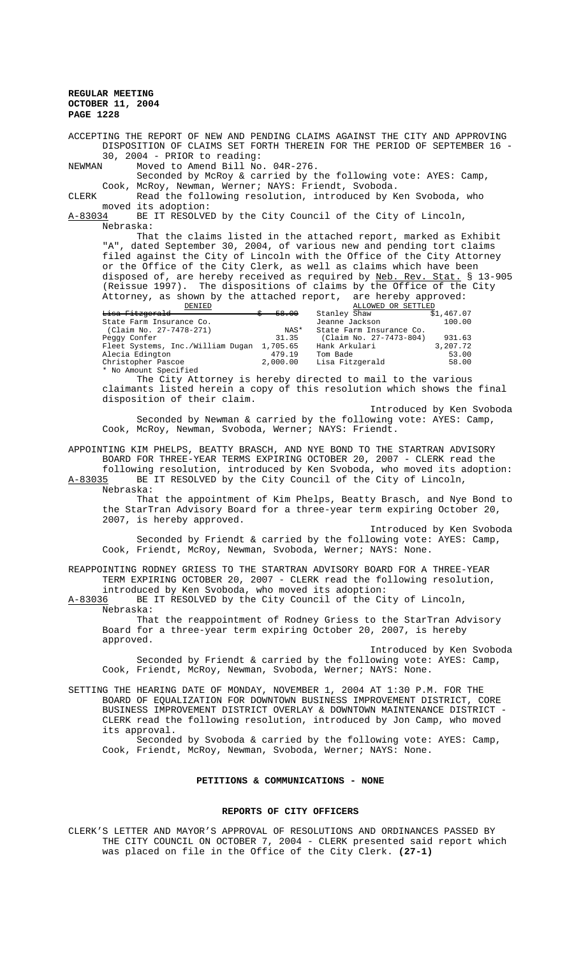ACCEPTING THE REPORT OF NEW AND PENDING CLAIMS AGAINST THE CITY AND APPROVING DISPOSITION OF CLAIMS SET FORTH THEREIN FOR THE PERIOD OF SEPTEMBER 16 - 30, 2004 - PRIOR to reading:<br>NEWMAN Moved to Amend Bill No

Moved to Amend Bill No. 04R-276.

Seconded by McRoy & carried by the following vote: AYES: Camp, Cook, McRoy, Newman, Werner; NAYS: Friendt, Svoboda.<br>CLERK Read the following resolution, introduced by K

Read the following resolution, introduced by Ken Svoboda, who moved its adoption:<br>A-83034 BE IT RESOLVE

BE IT RESOLVED by the City Council of the City of Lincoln, Nebraska:

That the claims listed in the attached report, marked as Exhibit "A", dated September 30, 2004, of various new and pending tort claims filed against the City of Lincoln with the Office of the City Attorney or the Office of the City Clerk, as well as claims which have been disposed of, are hereby received as required by Neb. Rev. Stat. § 13-905 (Reissue 1997). The dispositions of claims by the Office of the City Attorney, as shown by the attached report, are hereby approved:

| DENIED                            |          | ALLOWED OR SETTLED       |            |
|-----------------------------------|----------|--------------------------|------------|
| <del>Lisa Fitzgerald</del>        | 58.00    | Stanley Shaw             | \$1,467.07 |
| State Farm Insurance Co.          |          | Jeanne Jackson           | 100.00     |
| (Claim No. 27-7478-271)           | NAS*     | State Farm Insurance Co. |            |
| Peggy Confer                      | 31.35    | (Claim No. 27-7473-804)  | 931.63     |
| Fleet Systems, Inc./William Duqan | 1,705.65 | Hank Arkulari            | 3,207.72   |
| Alecia Edington                   | 479.19   | Tom Bade                 | 53.00      |
| Christopher Pascoe                | 2,000.00 | Lisa Fitzgerald          | 58.00      |
| * No Amount Specified             |          |                          |            |

The City Attorney is hereby directed to mail to the various claimants listed herein a copy of this resolution which shows the final disposition of their claim.

Introduced by Ken Svoboda Seconded by Newman & carried by the following vote: AYES: Camp, Cook, McRoy, Newman, Svoboda, Werner; NAYS: Friendt.

APPOINTING KIM PHELPS, BEATTY BRASCH, AND NYE BOND TO THE STARTRAN ADVISORY BOARD FOR THREE-YEAR TERMS EXPIRING OCTOBER 20, 2007 - CLERK read the

following resolution, introduced by Ken Svoboda, who moved its adoption:<br>A-83035 BE IT RESOLVED by the City Council of the City of Lincoln, BE IT RESOLVED by the City Council of the City of Lincoln, Nebraska:

That the appointment of Kim Phelps, Beatty Brasch, and Nye Bond to the StarTran Advisory Board for a three-year term expiring October 20, 2007, is hereby approved.

Introduced by Ken Svoboda Seconded by Friendt & carried by the following vote: AYES: Camp, Cook, Friendt, McRoy, Newman, Svoboda, Werner; NAYS: None.

REAPPOINTING RODNEY GRIESS TO THE STARTRAN ADVISORY BOARD FOR A THREE-YEAR TERM EXPIRING OCTOBER 20, 2007 - CLERK read the following resolution, introduced by Ken Svoboda, who moved its adoption:<br>A-83036 BE IT RESOLVED by the City Council of the Ci

BE IT RESOLVED by the City Council of the City of Lincoln, Nebraska:

That the reappointment of Rodney Griess to the StarTran Advisory Board for a three-year term expiring October 20, 2007, is hereby approved.

Introduced by Ken Svoboda Seconded by Friendt & carried by the following vote: AYES: Camp, Cook, Friendt, McRoy, Newman, Svoboda, Werner; NAYS: None.

SETTING THE HEARING DATE OF MONDAY, NOVEMBER 1, 2004 AT 1:30 P.M. FOR THE BOARD OF EQUALIZATION FOR DOWNTOWN BUSINESS IMPROVEMENT DISTRICT, CORE BUSINESS IMPROVEMENT DISTRICT OVERLAY & DOWNTOWN MAINTENANCE DISTRICT - CLERK read the following resolution, introduced by Jon Camp, who moved its approval.

Seconded by Svoboda & carried by the following vote: AYES: Camp, Cook, Friendt, McRoy, Newman, Svoboda, Werner; NAYS: None.

## **PETITIONS & COMMUNICATIONS - NONE**

#### **REPORTS OF CITY OFFICERS**

CLERK'S LETTER AND MAYOR'S APPROVAL OF RESOLUTIONS AND ORDINANCES PASSED BY THE CITY COUNCIL ON OCTOBER 7, 2004 - CLERK presented said report which was placed on file in the Office of the City Clerk. **(27-1)**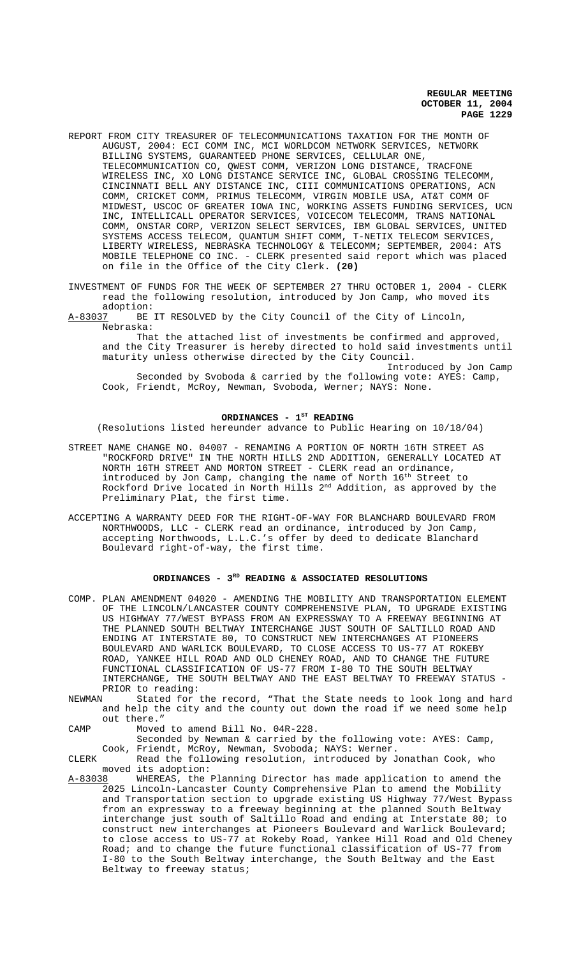- REPORT FROM CITY TREASURER OF TELECOMMUNICATIONS TAXATION FOR THE MONTH OF AUGUST, 2004: ECI COMM INC, MCI WORLDCOM NETWORK SERVICES, NETWORK BILLING SYSTEMS, GUARANTEED PHONE SERVICES, CELLULAR ONE, TELECOMMUNICATION CO, QWEST COMM, VERIZON LONG DISTANCE, TRACFONE WIRELESS INC, XO LONG DISTANCE SERVICE INC, GLOBAL CROSSING TELECOMM, CINCINNATI BELL ANY DISTANCE INC, CIII COMMUNICATIONS OPERATIONS, ACN COMM, CRICKET COMM, PRIMUS TELECOMM, VIRGIN MOBILE USA, AT&T COMM OF MIDWEST, USCOC OF GREATER IOWA INC, WORKING ASSETS FUNDING SERVICES, UCN INC, INTELLICALL OPERATOR SERVICES, VOICECOM TELECOMM, TRANS NATIONAL COMM, ONSTAR CORP, VERIZON SELECT SERVICES, IBM GLOBAL SERVICES, UNITED SYSTEMS ACCESS TELECOM, QUANTUM SHIFT COMM, T-NETIX TELECOM SERVICES, LIBERTY WIRELESS, NEBRASKA TECHNOLOGY & TELECOMM; SEPTEMBER, 2004: ATS MOBILE TELEPHONE CO INC. - CLERK presented said report which was placed on file in the Office of the City Clerk. **(20)**
- INVESTMENT OF FUNDS FOR THE WEEK OF SEPTEMBER 27 THRU OCTOBER 1, 2004 CLERK read the following resolution, introduced by Jon Camp, who moved its
- adoption:<br>A-83037 BE BE IT RESOLVED by the City Council of the City of Lincoln, Nebraska:

That the attached list of investments be confirmed and approved, and the City Treasurer is hereby directed to hold said investments until maturity unless otherwise directed by the City Council.

Introduced by Jon Camp Seconded by Svoboda & carried by the following vote: AYES: Camp, Cook, Friendt, McRoy, Newman, Svoboda, Werner; NAYS: None.

#### ORDINANCES - 1<sup>st</sup> READING

(Resolutions listed hereunder advance to Public Hearing on 10/18/04)

- STREET NAME CHANGE NO. 04007 RENAMING A PORTION OF NORTH 16TH STREET AS "ROCKFORD DRIVE" IN THE NORTH HILLS 2ND ADDITION, GENERALLY LOCATED AT NORTH 16TH STREET AND MORTON STREET - CLERK read an ordinance, introduced by Jon Camp, changing the name of North 16<sup>th</sup> Street to Rockford Drive located in North Hills 2<sup>nd</sup> Addition, as approved by the Preliminary Plat, the first time.
- ACCEPTING A WARRANTY DEED FOR THE RIGHT-OF-WAY FOR BLANCHARD BOULEVARD FROM NORTHWOODS, LLC - CLERK read an ordinance, introduced by Jon Camp, accepting Northwoods, L.L.C.'s offer by deed to dedicate Blanchard Boulevard right-of-way, the first time.

#### ORDINANCES - 3<sup>RD</sup> READING & ASSOCIATED RESOLUTIONS

- COMP. PLAN AMENDMENT 04020 AMENDING THE MOBILITY AND TRANSPORTATION ELEMENT OF THE LINCOLN/LANCASTER COUNTY COMPREHENSIVE PLAN, TO UPGRADE EXISTING US HIGHWAY 77/WEST BYPASS FROM AN EXPRESSWAY TO A FREEWAY BEGINNING AT THE PLANNED SOUTH BELTWAY INTERCHANGE JUST SOUTH OF SALTILLO ROAD AND ENDING AT INTERSTATE 80, TO CONSTRUCT NEW INTERCHANGES AT PIONEERS BOULEVARD AND WARLICK BOULEVARD, TO CLOSE ACCESS TO US-77 AT ROKEBY ROAD, YANKEE HILL ROAD AND OLD CHENEY ROAD, AND TO CHANGE THE FUTURE FUNCTIONAL CLASSIFICATION OF US-77 FROM I-80 TO THE SOUTH BELTWAY INTERCHANGE, THE SOUTH BELTWAY AND THE EAST BELTWAY TO FREEWAY STATUS - PRIOR to reading:
- NEWMAN Stated for the record, "That the State needs to look long and hard and help the city and the county out down the road if we need some help out there."
- CAMP Moved to amend Bill No. 04R-228.

Seconded by Newman & carried by the following vote: AYES: Camp, Cook, Friendt, McRoy, Newman, Svoboda; NAYS: Werner.

CLERK Read the following resolution, introduced by Jonathan Cook, who moved its adoption:<br>A-83038 WHEREAS, the

WHEREAS, the Planning Director has made application to amend the 2025 Lincoln-Lancaster County Comprehensive Plan to amend the Mobility and Transportation section to upgrade existing US Highway 77/West Bypass from an expressway to a freeway beginning at the planned South Beltway interchange just south of Saltillo Road and ending at Interstate 80; to construct new interchanges at Pioneers Boulevard and Warlick Boulevard; to close access to US-77 at Rokeby Road, Yankee Hill Road and Old Cheney Road; and to change the future functional classification of US-77 from I-80 to the South Beltway interchange, the South Beltway and the East Beltway to freeway status;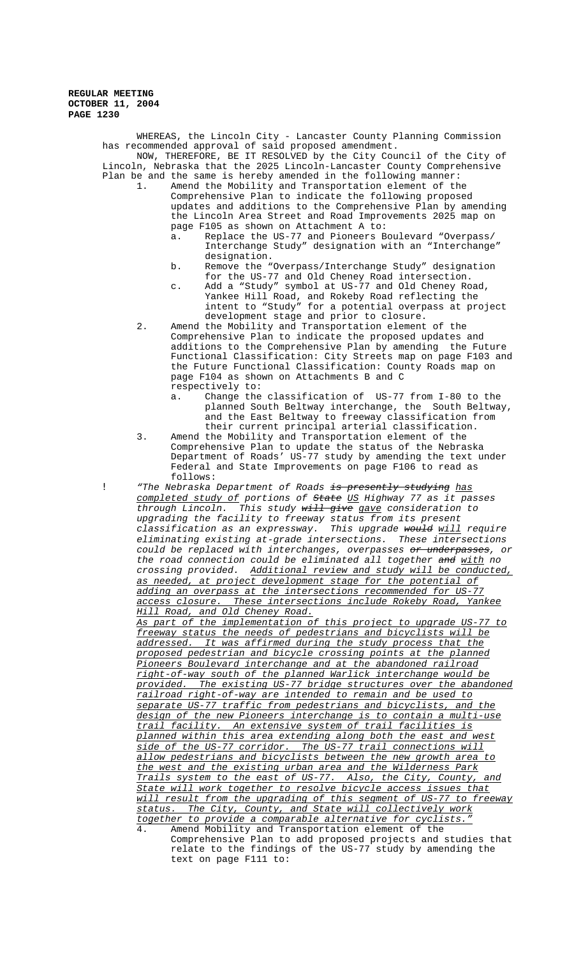WHEREAS, the Lincoln City - Lancaster County Planning Commission has recommended approval of said proposed amendment. NOW, THEREFORE, BE IT RESOLVED by the City Council of the City of Lincoln, Nebraska that the 2025 Lincoln-Lancaster County Comprehensive Plan be and the same is hereby amended in the following manner:

- 1. Amend the Mobility and Transportation element of the Comprehensive Plan to indicate the following proposed updates and additions to the Comprehensive Plan by amending the Lincoln Area Street and Road Improvements 2025 map on page F105 as shown on Attachment A to:
	- a. Replace the US-77 and Pioneers Boulevard "Overpass/ Interchange Study" designation with an "Interchange" designation.
	- b. Remove the "Overpass/Interchange Study" designation for the US-77 and Old Cheney Road intersection.
	- c. Add a "Study" symbol at US-77 and Old Cheney Road, Yankee Hill Road, and Rokeby Road reflecting the intent to "Study" for a potential overpass at project development stage and prior to closure.
- 2. Amend the Mobility and Transportation element of the Comprehensive Plan to indicate the proposed updates and additions to the Comprehensive Plan by amending the Future Functional Classification: City Streets map on page F103 and the Future Functional Classification: County Roads map on page F104 as shown on Attachments B and C respectively to:
	- a. Change the classification of US-77 from I-80 to the planned South Beltway interchange, the South Beltway, and the East Beltway to freeway classification from their current principal arterial classification.
- 3. Amend the Mobility and Transportation element of the Comprehensive Plan to update the status of the Nebraska Department of Roads' US-77 study by amending the text under Federal and State Improvements on page F106 to read as follows:

! "The Nebraska Department of Roads is presently studying has completed study of portions of State US Highway 77 as it passes through Lincoln. This study will give gave consideration to upgrading the facility to freeway status from its present classification as an expressway. This upgrade <del>would</del> <u>will</u> require eliminating existing at-grade intersections. These intersections could be replaced with interchanges, overpasses or underpasses, or the road connection could be eliminated all together and with no crossing provided. Additional review and study will be conducted, as needed, at project development stage for the potential of adding an overpass at the intersections recommended for US-77 access closure. These intersections include Rokeby Road, Yankee

Hill Road, and Old Cheney Road. As part of the implementation of this project to upgrade US-77 to freeway status the needs of pedestrians and bicyclists will be addressed. It was affirmed during the study process that the proposed pedestrian and bicycle crossing points at the planned Pioneers Boulevard interchange and at the abandoned railroad right-of-way south of the planned Warlick interchange would be provided. The existing US-77 bridge structures over the abandoned railroad right-of-way are intended to remain and be used to separate US-77 traffic from pedestrians and bicyclists, and the design of the new Pioneers interchange is to contain a multi-use trail facility. An extensive system of trail facilities is planned within this area extending along both the east and west side of the US-77 corridor. The US-77 trail connections will allow pedestrians and bicyclists between the new growth area to the west and the existing urban area and the Wilderness Park Trails system to the east of US-77. Also, the City, County, and State will work together to resolve bicycle access issues that will result from the upgrading of this segment of US-77 to freeway status. The City, County, and State will collectively work together to provide a comparable alternative for cyclists."

Amend Mobility and Transportation element of the Comprehensive Plan to add proposed projects and studies that relate to the findings of the US-77 study by amending the text on page F111 to: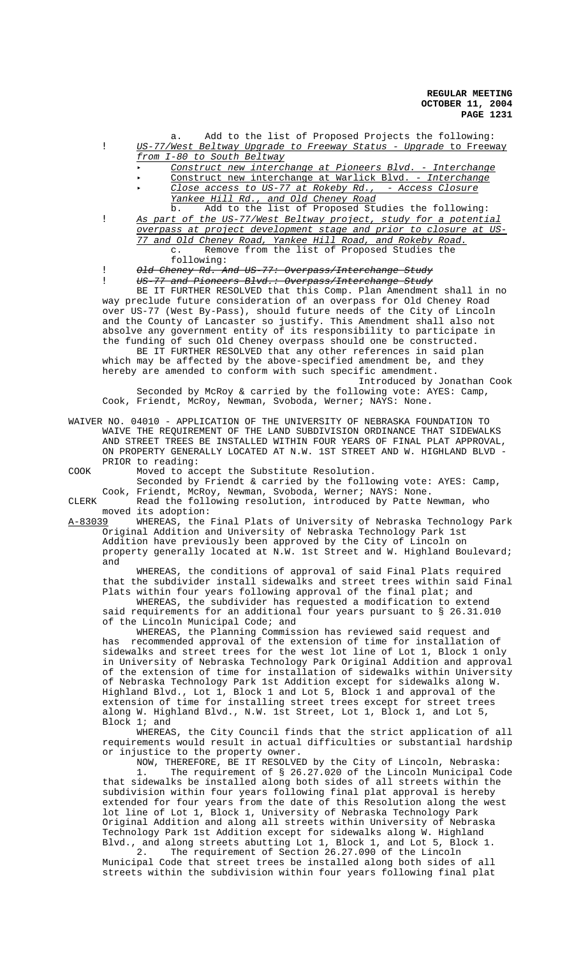a. Add to the list of Proposed Projects the following: ! US-77/West Beltway Upgrade to Freeway Status - Upgrade to Freeway from I-80 to South Beltway

< Construct new interchange at Pioneers Blvd. - Interchange

- < Construct new interchange at Warlick Blvd. Interchange Close access to US-77 at Rokeby Rd., - Access Closure
	- Yankee Hill Rd., and Old Cheney Road

b. Add to the list of Proposed Studies the following: ! As part of the US-77/West Beltway project, study for a potential overpass at project development stage and prior to closure at US-77 and Old Cheney Road, Yankee Hill Road, and Rokeby Road. c. Remove from the list of Proposed Studies the following:

! Old Cheney Rd. And US-77: Overpass/Interchange Study

US-77 and Pioneers Blvd.: Overpass/Interchange Study

BE IT FURTHER RESOLVED that this Comp. Plan Amendment shall in no way preclude future consideration of an overpass for Old Cheney Road over US-77 (West By-Pass), should future needs of the City of Lincoln and the County of Lancaster so justify. This Amendment shall also not absolve any government entity of its responsibility to participate in the funding of such Old Cheney overpass should one be constructed.

BE IT FURTHER RESOLVED that any other references in said plan which may be affected by the above-specified amendment be, and they hereby are amended to conform with such specific amendment. Introduced by Jonathan Cook

Seconded by McRoy & carried by the following vote: AYES: Camp, Cook, Friendt, McRoy, Newman, Svoboda, Werner; NAYS: None.

WAIVER NO. 04010 - APPLICATION OF THE UNIVERSITY OF NEBRASKA FOUNDATION TO WAIVE THE REQUIREMENT OF THE LAND SUBDIVISION ORDINANCE THAT SIDEWALKS AND STREET TREES BE INSTALLED WITHIN FOUR YEARS OF FINAL PLAT APPROVAL, ON PROPERTY GENERALLY LOCATED AT N.W. 1ST STREET AND W. HIGHLAND BLVD - PRIOR to reading:

COOK Moved to accept the Substitute Resolution. Seconded by Friendt & carried by the following vote: AYES: Camp,

Cook, Friendt, McRoy, Newman, Svoboda, Werner; NAYS: None.

CLERK Read the following resolution, introduced by Patte Newman, who moved its adoption:

A-83039 MHEREAS, the Final Plats of University of Nebraska Technology Park Original Addition and University of Nebraska Technology Park 1st Addition have previously been approved by the City of Lincoln on property generally located at N.W. 1st Street and W. Highland Boulevard; and

WHEREAS, the conditions of approval of said Final Plats required that the subdivider install sidewalks and street trees within said Final Plats within four years following approval of the final plat; and

WHEREAS, the subdivider has requested a modification to extend said requirements for an additional four years pursuant to § 26.31.010 of the Lincoln Municipal Code; and

WHEREAS, the Planning Commission has reviewed said request and has recommended approval of the extension of time for installation of sidewalks and street trees for the west lot line of Lot 1, Block 1 only in University of Nebraska Technology Park Original Addition and approval of the extension of time for installation of sidewalks within University of Nebraska Technology Park 1st Addition except for sidewalks along W. Highland Blvd., Lot 1, Block 1 and Lot 5, Block 1 and approval of the extension of time for installing street trees except for street trees along W. Highland Blvd., N.W. 1st Street, Lot 1, Block 1, and Lot 5, Block 1; and

WHEREAS, the City Council finds that the strict application of all requirements would result in actual difficulties or substantial hardship or injustice to the property owner.

NOW, THEREFORE, BE IT RESOLVED by the City of Lincoln, Nebraska: 1. The requirement of § 26.27.020 of the Lincoln Municipal Code that sidewalks be installed along both sides of all streets within the subdivision within four years following final plat approval is hereby extended for four years from the date of this Resolution along the west lot line of Lot 1, Block 1, University of Nebraska Technology Park Original Addition and along all streets within University of Nebraska Technology Park 1st Addition except for sidewalks along W. Highland Blvd., and along streets abutting Lot 1, Block 1, and Lot 5, Block 1.<br>2. The requirement of Section 26.27.090 of the Lincoln

2. The requirement of Section 26.27.090 of the Lincoln Municipal Code that street trees be installed along both sides of all streets within the subdivision within four years following final plat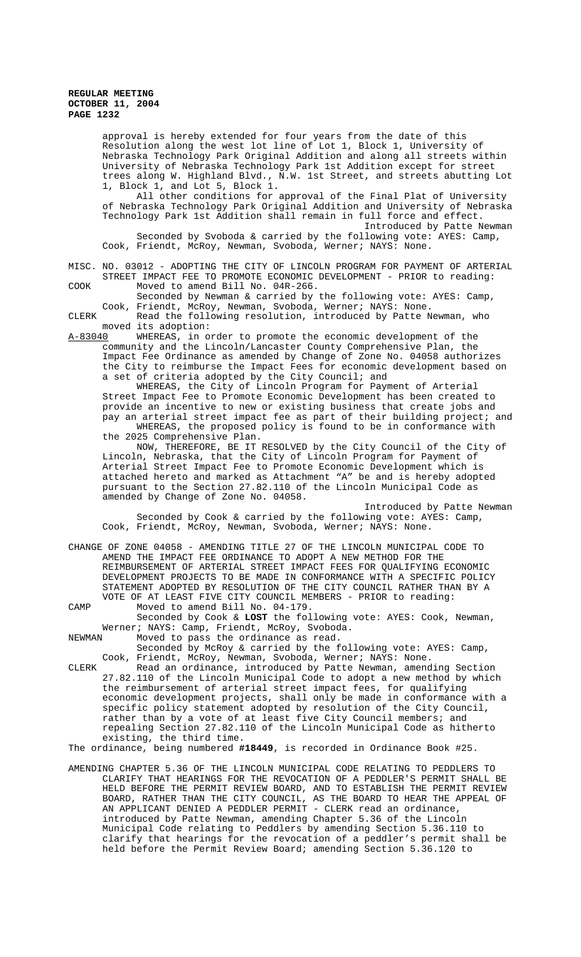approval is hereby extended for four years from the date of this Resolution along the west lot line of Lot 1, Block 1, University of Nebraska Technology Park Original Addition and along all streets within University of Nebraska Technology Park 1st Addition except for street trees along W. Highland Blvd., N.W. 1st Street, and streets abutting Lot 1, Block 1, and Lot 5, Block 1.

All other conditions for approval of the Final Plat of University of Nebraska Technology Park Original Addition and University of Nebraska Technology Park 1st Addition shall remain in full force and effect. Introduced by Patte Newman

Seconded by Svoboda & carried by the following vote: AYES: Camp, Cook, Friendt, McRoy, Newman, Svoboda, Werner; NAYS: None.

MISC. NO. 03012 - ADOPTING THE CITY OF LINCOLN PROGRAM FOR PAYMENT OF ARTERIAL STREET IMPACT FEE TO PROMOTE ECONOMIC DEVELOPMENT - PRIOR to reading: COOK Moved to amend Bill No. 04R-266.

Seconded by Newman & carried by the following vote: AYES: Camp, Cook, Friendt, McRoy, Newman, Svoboda, Werner; NAYS: None.

CLERK Read the following resolution, introduced by Patte Newman, who moved its adoption:<br>A-83040 WHEREAS, in o

WHEREAS, in order to promote the economic development of the community and the Lincoln/Lancaster County Comprehensive Plan, the Impact Fee Ordinance as amended by Change of Zone No. 04058 authorizes the City to reimburse the Impact Fees for economic development based on a set of criteria adopted by the City Council; and

WHEREAS, the City of Lincoln Program for Payment of Arterial Street Impact Fee to Promote Economic Development has been created to provide an incentive to new or existing business that create jobs and pay an arterial street impact fee as part of their building project; and WHEREAS, the proposed policy is found to be in conformance with the 2025 Comprehensive Plan.

NOW, THEREFORE, BE IT RESOLVED by the City Council of the City of Lincoln, Nebraska, that the City of Lincoln Program for Payment of Arterial Street Impact Fee to Promote Economic Development which is attached hereto and marked as Attachment "A" be and is hereby adopted pursuant to the Section 27.82.110 of the Lincoln Municipal Code as amended by Change of Zone No. 04058.

Introduced by Patte Newman Seconded by Cook & carried by the following vote: AYES: Camp, Cook, Friendt, McRoy, Newman, Svoboda, Werner; NAYS: None.

CHANGE OF ZONE 04058 - AMENDING TITLE 27 OF THE LINCOLN MUNICIPAL CODE TO AMEND THE IMPACT FEE ORDINANCE TO ADOPT A NEW METHOD FOR THE REIMBURSEMENT OF ARTERIAL STREET IMPACT FEES FOR QUALIFYING ECONOMIC DEVELOPMENT PROJECTS TO BE MADE IN CONFORMANCE WITH A SPECIFIC POLICY STATEMENT ADOPTED BY RESOLUTION OF THE CITY COUNCIL RATHER THAN BY A VOTE OF AT LEAST FIVE CITY COUNCIL MEMBERS - PRIOR to reading: CAMP Moved to amend Bill No. 04-179.

Seconded by Cook & **LOST** the following vote: AYES: Cook, Newman, Werner; NAYS: Camp, Friendt, McRoy, Svoboda.<br>NEWMAN Moved to pass the ordinance as read.

Moved to pass the ordinance as read. Seconded by McRoy & carried by the following vote: AYES: Camp, Cook, Friendt, McRoy, Newman, Svoboda, Werner; NAYS: None.

CLERK Read an ordinance, introduced by Patte Newman, amending Section 27.82.110 of the Lincoln Municipal Code to adopt a new method by which the reimbursement of arterial street impact fees, for qualifying economic development projects, shall only be made in conformance with a specific policy statement adopted by resolution of the City Council, rather than by a vote of at least five City Council members; and repealing Section 27.82.110 of the Lincoln Municipal Code as hitherto existing, the third time.

The ordinance, being numbered **#18449**, is recorded in Ordinance Book #25.

AMENDING CHAPTER 5.36 OF THE LINCOLN MUNICIPAL CODE RELATING TO PEDDLERS TO CLARIFY THAT HEARINGS FOR THE REVOCATION OF A PEDDLER'S PERMIT SHALL BE HELD BEFORE THE PERMIT REVIEW BOARD, AND TO ESTABLISH THE PERMIT REVIEW BOARD, RATHER THAN THE CITY COUNCIL, AS THE BOARD TO HEAR THE APPEAL OF AN APPLICANT DENIED A PEDDLER PERMIT - CLERK read an ordinance, introduced by Patte Newman, amending Chapter 5.36 of the Lincoln Municipal Code relating to Peddlers by amending Section 5.36.110 to clarify that hearings for the revocation of a peddler's permit shall be held before the Permit Review Board; amending Section 5.36.120 to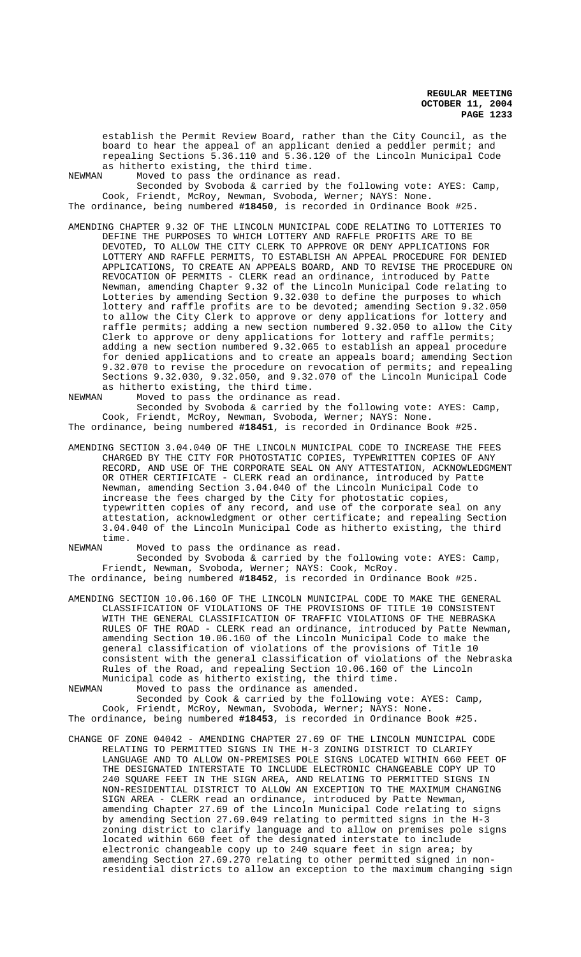establish the Permit Review Board, rather than the City Council, as the board to hear the appeal of an applicant denied a peddler permit; and repealing Sections 5.36.110 and 5.36.120 of the Lincoln Municipal Code as hitherto existing, the third time.<br>NEWMAN Moved to pass the ordinance as

Moved to pass the ordinance as read.

Seconded by Svoboda & carried by the following vote: AYES: Camp, Cook, Friendt, McRoy, Newman, Svoboda, Werner; NAYS: None. The ordinance, being numbered **#18450**, is recorded in Ordinance Book #25.

AMENDING CHAPTER 9.32 OF THE LINCOLN MUNICIPAL CODE RELATING TO LOTTERIES TO DEFINE THE PURPOSES TO WHICH LOTTERY AND RAFFLE PROFITS ARE TO BE DEVOTED, TO ALLOW THE CITY CLERK TO APPROVE OR DENY APPLICATIONS FOR LOTTERY AND RAFFLE PERMITS, TO ESTABLISH AN APPEAL PROCEDURE FOR DENIED APPLICATIONS, TO CREATE AN APPEALS BOARD, AND TO REVISE THE PROCEDURE ON REVOCATION OF PERMITS - CLERK read an ordinance, introduced by Patte Newman, amending Chapter 9.32 of the Lincoln Municipal Code relating to Lotteries by amending Section 9.32.030 to define the purposes to which lottery and raffle profits are to be devoted; amending Section 9.32.050 to allow the City Clerk to approve or deny applications for lottery and raffle permits; adding a new section numbered 9.32.050 to allow the City Clerk to approve or deny applications for lottery and raffle permits; adding a new section numbered 9.32.065 to establish an appeal procedure for denied applications and to create an appeals board; amending Section 9.32.070 to revise the procedure on revocation of permits; and repealing Sections 9.32.030, 9.32.050, and 9.32.070 of the Lincoln Municipal Code as hitherto existing, the third time.<br>NEWMAN Moved to pass the ordinance as

Moved to pass the ordinance as read. Seconded by Svoboda & carried by the following vote: AYES: Camp, Cook, Friendt, McRoy, Newman, Svoboda, Werner; NAYS: None. The ordinance, being numbered **#18451**, is recorded in Ordinance Book #25.

AMENDING SECTION 3.04.040 OF THE LINCOLN MUNICIPAL CODE TO INCREASE THE FEES CHARGED BY THE CITY FOR PHOTOSTATIC COPIES, TYPEWRITTEN COPIES OF ANY RECORD, AND USE OF THE CORPORATE SEAL ON ANY ATTESTATION, ACKNOWLEDGMENT OR OTHER CERTIFICATE - CLERK read an ordinance, introduced by Patte Newman, amending Section 3.04.040 of the Lincoln Municipal Code to increase the fees charged by the City for photostatic copies, typewritten copies of any record, and use of the corporate seal on any attestation, acknowledgment or other certificate; and repealing Section 3.04.040 of the Lincoln Municipal Code as hitherto existing, the third time.<br>NEWMAN

Moved to pass the ordinance as read.

Seconded by Svoboda & carried by the following vote: AYES: Camp, Friendt, Newman, Svoboda, Werner; NAYS: Cook, McRoy. The ordinance, being numbered **#18452**, is recorded in Ordinance Book #25.

AMENDING SECTION 10.06.160 OF THE LINCOLN MUNICIPAL CODE TO MAKE THE GENERAL CLASSIFICATION OF VIOLATIONS OF THE PROVISIONS OF TITLE 10 CONSISTENT WITH THE GENERAL CLASSIFICATION OF TRAFFIC VIOLATIONS OF THE NEBRASKA RULES OF THE ROAD - CLERK read an ordinance, introduced by Patte Newman, amending Section 10.06.160 of the Lincoln Municipal Code to make the general classification of violations of the provisions of Title 10

consistent with the general classification of violations of the Nebraska Rules of the Road, and repealing Section 10.06.160 of the Lincoln Municipal code as hitherto existing, the third time. NEWMAN Moved to pass the ordinance as amended.

Seconded by Cook & carried by the following vote: AYES: Camp, Cook, Friendt, McRoy, Newman, Svoboda, Werner; NAYS: None. The ordinance, being numbered **#18453**, is recorded in Ordinance Book #25.

CHANGE OF ZONE 04042 - AMENDING CHAPTER 27.69 OF THE LINCOLN MUNICIPAL CODE RELATING TO PERMITTED SIGNS IN THE H-3 ZONING DISTRICT TO CLARIFY LANGUAGE AND TO ALLOW ON-PREMISES POLE SIGNS LOCATED WITHIN 660 FEET OF THE DESIGNATED INTERSTATE TO INCLUDE ELECTRONIC CHANGEABLE COPY UP TO 240 SQUARE FEET IN THE SIGN AREA, AND RELATING TO PERMITTED SIGNS IN NON-RESIDENTIAL DISTRICT TO ALLOW AN EXCEPTION TO THE MAXIMUM CHANGING SIGN AREA - CLERK read an ordinance, introduced by Patte Newman, amending Chapter 27.69 of the Lincoln Municipal Code relating to signs by amending Section 27.69.049 relating to permitted signs in the H-3 zoning district to clarify language and to allow on premises pole signs located within 660 feet of the designated interstate to include electronic changeable copy up to 240 square feet in sign area; by amending Section 27.69.270 relating to other permitted signed in nonresidential districts to allow an exception to the maximum changing sign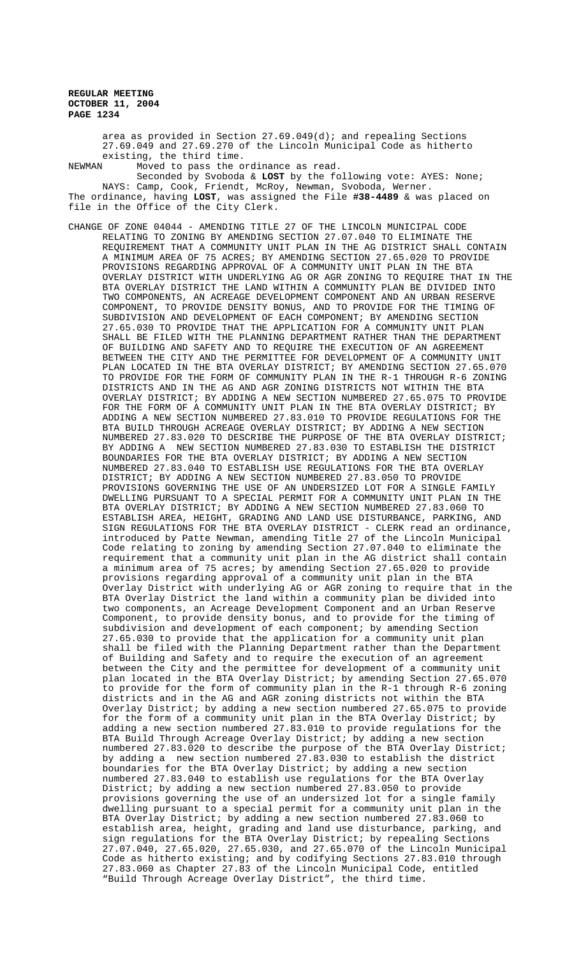area as provided in Section 27.69.049(d); and repealing Sections 27.69.049 and 27.69.270 of the Lincoln Municipal Code as hitherto existing, the third time.<br>NEWMAN Moved to pass the o

Moved to pass the ordinance as read.

Seconded by Svoboda & **LOST** by the following vote: AYES: None; NAYS: Camp, Cook, Friendt, McRoy, Newman, Svoboda, Werner. The ordinance, having **LOST**, was assigned the File **#38-4489** & was placed on file in the Office of the City Clerk.

CHANGE OF ZONE 04044 - AMENDING TITLE 27 OF THE LINCOLN MUNICIPAL CODE RELATING TO ZONING BY AMENDING SECTION 27.07.040 TO ELIMINATE THE REQUIREMENT THAT A COMMUNITY UNIT PLAN IN THE AG DISTRICT SHALL CONTAIN A MINIMUM AREA OF 75 ACRES; BY AMENDING SECTION 27.65.020 TO PROVIDE PROVISIONS REGARDING APPROVAL OF A COMMUNITY UNIT PLAN IN THE BTA OVERLAY DISTRICT WITH UNDERLYING AG OR AGR ZONING TO REQUIRE THAT IN THE BTA OVERLAY DISTRICT THE LAND WITHIN A COMMUNITY PLAN BE DIVIDED INTO TWO COMPONENTS, AN ACREAGE DEVELOPMENT COMPONENT AND AN URBAN RESERVE COMPONENT, TO PROVIDE DENSITY BONUS, AND TO PROVIDE FOR THE TIMING OF SUBDIVISION AND DEVELOPMENT OF EACH COMPONENT; BY AMENDING SECTION 27.65.030 TO PROVIDE THAT THE APPLICATION FOR A COMMUNITY UNIT PLAN SHALL BE FILED WITH THE PLANNING DEPARTMENT RATHER THAN THE DEPARTMENT OF BUILDING AND SAFETY AND TO REQUIRE THE EXECUTION OF AN AGREEMENT BETWEEN THE CITY AND THE PERMITTEE FOR DEVELOPMENT OF A COMMUNITY UNIT PLAN LOCATED IN THE BTA OVERLAY DISTRICT; BY AMENDING SECTION 27.65.070 TO PROVIDE FOR THE FORM OF COMMUNITY PLAN IN THE R-1 THROUGH R-6 ZONING DISTRICTS AND IN THE AG AND AGR ZONING DISTRICTS NOT WITHIN THE BTA OVERLAY DISTRICT; BY ADDING A NEW SECTION NUMBERED 27.65.075 TO PROVIDE FOR THE FORM OF A COMMUNITY UNIT PLAN IN THE BTA OVERLAY DISTRICT; BY ADDING A NEW SECTION NUMBERED 27.83.010 TO PROVIDE REGULATIONS FOR THE BTA BUILD THROUGH ACREAGE OVERLAY DISTRICT; BY ADDING A NEW SECTION NUMBERED 27.83.020 TO DESCRIBE THE PURPOSE OF THE BTA OVERLAY DISTRICT; BY ADDING A NEW SECTION NUMBERED 27.83.030 TO ESTABLISH THE DISTRICT BOUNDARIES FOR THE BTA OVERLAY DISTRICT; BY ADDING A NEW SECTION NUMBERED 27.83.040 TO ESTABLISH USE REGULATIONS FOR THE BTA OVERLAY DISTRICT; BY ADDING A NEW SECTION NUMBERED 27.83.050 TO PROVIDE PROVISIONS GOVERNING THE USE OF AN UNDERSIZED LOT FOR A SINGLE FAMILY DWELLING PURSUANT TO A SPECIAL PERMIT FOR A COMMUNITY UNIT PLAN IN THE BTA OVERLAY DISTRICT; BY ADDING A NEW SECTION NUMBERED 27.83.060 TO ESTABLISH AREA, HEIGHT, GRADING AND LAND USE DISTURBANCE, PARKING, AND SIGN REGULATIONS FOR THE BTA OVERLAY DISTRICT - CLERK read an ordinance, introduced by Patte Newman, amending Title 27 of the Lincoln Municipal Code relating to zoning by amending Section 27.07.040 to eliminate the requirement that a community unit plan in the AG district shall contain a minimum area of 75 acres; by amending Section 27.65.020 to provide provisions regarding approval of a community unit plan in the BTA Overlay District with underlying AG or AGR zoning to require that in the BTA Overlay District the land within a community plan be divided into two components, an Acreage Development Component and an Urban Reserve Component, to provide density bonus, and to provide for the timing of subdivision and development of each component; by amending Section 27.65.030 to provide that the application for a community unit plan shall be filed with the Planning Department rather than the Department of Building and Safety and to require the execution of an agreement between the City and the permittee for development of a community unit plan located in the BTA Overlay District; by amending Section 27.65.070 to provide for the form of community plan in the R-1 through R-6 zoning districts and in the AG and AGR zoning districts not within the BTA Overlay District; by adding a new section numbered 27.65.075 to provide for the form of a community unit plan in the BTA Overlay District; by adding a new section numbered 27.83.010 to provide regulations for the BTA Build Through Acreage Overlay District; by adding a new section numbered 27.83.020 to describe the purpose of the BTA Overlay District; by adding a new section numbered 27.83.030 to establish the district boundaries for the BTA Overlay District; by adding a new section numbered 27.83.040 to establish use regulations for the BTA Overlay District; by adding a new section numbered 27.83.050 to provide provisions governing the use of an undersized lot for a single family dwelling pursuant to a special permit for a community unit plan in the BTA Overlay District; by adding a new section numbered 27.83.060 to establish area, height, grading and land use disturbance, parking, and sign regulations for the BTA Overlay District; by repealing Sections 27.07.040, 27.65.020, 27.65.030, and 27.65.070 of the Lincoln Municipal Code as hitherto existing; and by codifying Sections 27.83.010 through 27.83.060 as Chapter 27.83 of the Lincoln Municipal Code, entitled "Build Through Acreage Overlay District", the third time.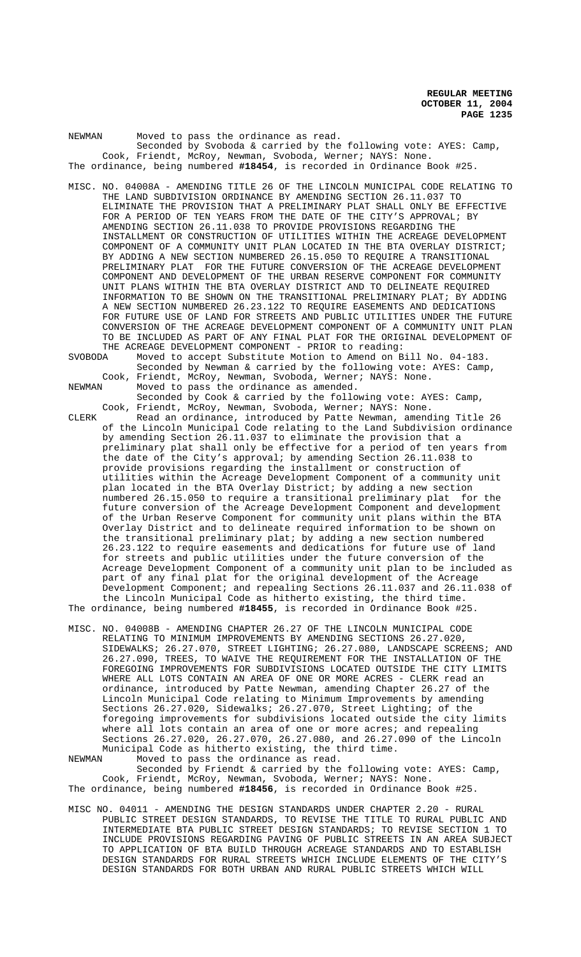NEWMAN Moved to pass the ordinance as read. Seconded by Svoboda & carried by the following vote: AYES: Camp, Cook, Friendt, McRoy, Newman, Svoboda, Werner; NAYS: None. The ordinance, being numbered **#18454**, is recorded in Ordinance Book #25.

- MISC. NO. 04008A AMENDING TITLE 26 OF THE LINCOLN MUNICIPAL CODE RELATING TO THE LAND SUBDIVISION ORDINANCE BY AMENDING SECTION 26.11.037 TO ELIMINATE THE PROVISION THAT A PRELIMINARY PLAT SHALL ONLY BE EFFECTIVE FOR A PERIOD OF TEN YEARS FROM THE DATE OF THE CITY'S APPROVAL; BY AMENDING SECTION 26.11.038 TO PROVIDE PROVISIONS REGARDING THE INSTALLMENT OR CONSTRUCTION OF UTILITIES WITHIN THE ACREAGE DEVELOPMENT COMPONENT OF A COMMUNITY UNIT PLAN LOCATED IN THE BTA OVERLAY DISTRICT; BY ADDING A NEW SECTION NUMBERED 26.15.050 TO REQUIRE A TRANSITIONAL PRELIMINARY PLAT FOR THE FUTURE CONVERSION OF THE ACREAGE DEVELOPMENT COMPONENT AND DEVELOPMENT OF THE URBAN RESERVE COMPONENT FOR COMMUNITY UNIT PLANS WITHIN THE BTA OVERLAY DISTRICT AND TO DELINEATE REQUIRED INFORMATION TO BE SHOWN ON THE TRANSITIONAL PRELIMINARY PLAT; BY ADDING A NEW SECTION NUMBERED 26.23.122 TO REQUIRE EASEMENTS AND DEDICATIONS FOR FUTURE USE OF LAND FOR STREETS AND PUBLIC UTILITIES UNDER THE FUTURE CONVERSION OF THE ACREAGE DEVELOPMENT COMPONENT OF A COMMUNITY UNIT PLAN TO BE INCLUDED AS PART OF ANY FINAL PLAT FOR THE ORIGINAL DEVELOPMENT OF THE ACREAGE DEVELOPMENT COMPONENT - PRIOR to reading:
- SVOBODA Moved to accept Substitute Motion to Amend on Bill No. 04-183. Seconded by Newman & carried by the following vote: AYES: Camp, Cook, Friendt, McRoy, Newman, Svoboda, Werner; NAYS: None.<br>NEWMAN Moved to pass the ordinance as amended. Moved to pass the ordinance as amended.

Seconded by Cook & carried by the following vote: AYES: Camp, Cook, Friendt, McRoy, Newman, Svoboda, Werner; NAYS: None.

CLERK Read an ordinance, introduced by Patte Newman, amending Title 26 of the Lincoln Municipal Code relating to the Land Subdivision ordinance by amending Section 26.11.037 to eliminate the provision that a preliminary plat shall only be effective for a period of ten years from the date of the City's approval; by amending Section 26.11.038 to provide provisions regarding the installment or construction of utilities within the Acreage Development Component of a community unit plan located in the BTA Overlay District; by adding a new section numbered 26.15.050 to require a transitional preliminary plat for the future conversion of the Acreage Development Component and development of the Urban Reserve Component for community unit plans within the BTA Overlay District and to delineate required information to be shown on the transitional preliminary plat; by adding a new section numbered 26.23.122 to require easements and dedications for future use of land for streets and public utilities under the future conversion of the Acreage Development Component of a community unit plan to be included as part of any final plat for the original development of the Acreage Development Component; and repealing Sections 26.11.037 and 26.11.038 of the Lincoln Municipal Code as hitherto existing, the third time.

The ordinance, being numbered **#18455**, is recorded in Ordinance Book #25.

MISC. NO. 04008B - AMENDING CHAPTER 26.27 OF THE LINCOLN MUNICIPAL CODE RELATING TO MINIMUM IMPROVEMENTS BY AMENDING SECTIONS 26.27.020, SIDEWALKS; 26.27.070, STREET LIGHTING; 26.27.080, LANDSCAPE SCREENS; AND 26.27.090, TREES, TO WAIVE THE REQUIREMENT FOR THE INSTALLATION OF THE FOREGOING IMPROVEMENTS FOR SUBDIVISIONS LOCATED OUTSIDE THE CITY LIMITS WHERE ALL LOTS CONTAIN AN AREA OF ONE OR MORE ACRES - CLERK read an ordinance, introduced by Patte Newman, amending Chapter 26.27 of the Lincoln Municipal Code relating to Minimum Improvements by amending Sections 26.27.020, Sidewalks; 26.27.070, Street Lighting; of the foregoing improvements for subdivisions located outside the city limits where all lots contain an area of one or more acres; and repealing Sections 26.27.020, 26.27.070, 26.27.080, and 26.27.090 of the Lincoln Municipal Code as hitherto existing, the third time.<br>NEWMAN Moved to pass the ordinance as read.

Moved to pass the ordinance as read. Seconded by Friendt & carried by the following vote: AYES: Camp, Cook, Friendt, McRoy, Newman, Svoboda, Werner; NAYS: None. The ordinance, being numbered **#18456**, is recorded in Ordinance Book #25.

MISC NO. 04011 - AMENDING THE DESIGN STANDARDS UNDER CHAPTER 2.20 - RURAL PUBLIC STREET DESIGN STANDARDS, TO REVISE THE TITLE TO RURAL PUBLIC AND INTERMEDIATE BTA PUBLIC STREET DESIGN STANDARDS; TO REVISE SECTION 1 TO INCLUDE PROVISIONS REGARDING PAVING OF PUBLIC STREETS IN AN AREA SUBJECT TO APPLICATION OF BTA BUILD THROUGH ACREAGE STANDARDS AND TO ESTABLISH DESIGN STANDARDS FOR RURAL STREETS WHICH INCLUDE ELEMENTS OF THE CITY'S DESIGN STANDARDS FOR BOTH URBAN AND RURAL PUBLIC STREETS WHICH WILL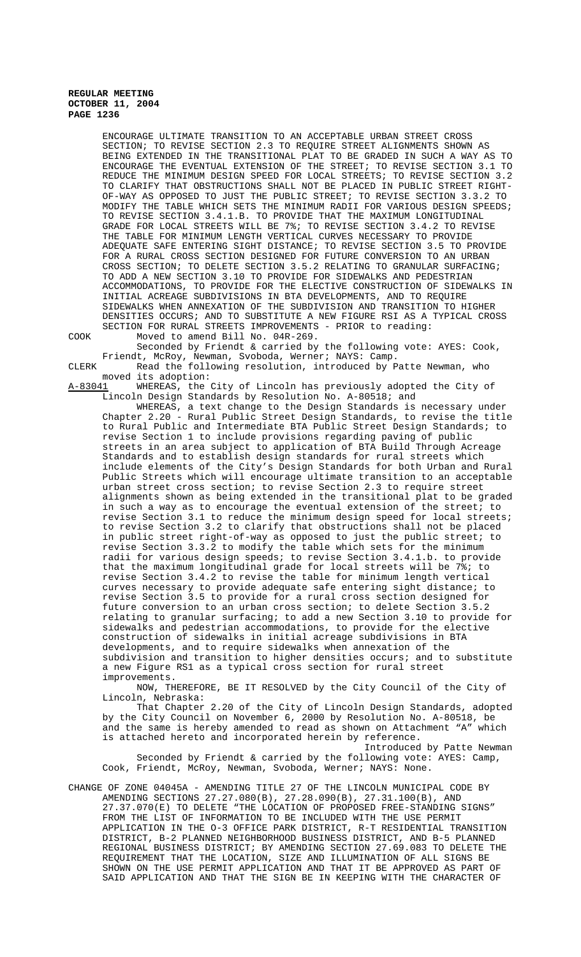ENCOURAGE ULTIMATE TRANSITION TO AN ACCEPTABLE URBAN STREET CROSS SECTION; TO REVISE SECTION 2.3 TO REQUIRE STREET ALIGNMENTS SHOWN AS BEING EXTENDED IN THE TRANSITIONAL PLAT TO BE GRADED IN SUCH A WAY AS TO ENCOURAGE THE EVENTUAL EXTENSION OF THE STREET; TO REVISE SECTION 3.1 TO REDUCE THE MINIMUM DESIGN SPEED FOR LOCAL STREETS; TO REVISE SECTION 3.2 TO CLARIFY THAT OBSTRUCTIONS SHALL NOT BE PLACED IN PUBLIC STREET RIGHT-OF-WAY AS OPPOSED TO JUST THE PUBLIC STREET; TO REVISE SECTION 3.3.2 TO MODIFY THE TABLE WHICH SETS THE MINIMUM RADII FOR VARIOUS DESIGN SPEEDS; TO REVISE SECTION 3.4.1.B. TO PROVIDE THAT THE MAXIMUM LONGITUDINAL GRADE FOR LOCAL STREETS WILL BE 7%; TO REVISE SECTION 3.4.2 TO REVISE THE TABLE FOR MINIMUM LENGTH VERTICAL CURVES NECESSARY TO PROVIDE ADEQUATE SAFE ENTERING SIGHT DISTANCE; TO REVISE SECTION 3.5 TO PROVIDE FOR A RURAL CROSS SECTION DESIGNED FOR FUTURE CONVERSION TO AN URBAN CROSS SECTION; TO DELETE SECTION 3.5.2 RELATING TO GRANULAR SURFACING; TO ADD A NEW SECTION 3.10 TO PROVIDE FOR SIDEWALKS AND PEDESTRIAN ACCOMMODATIONS, TO PROVIDE FOR THE ELECTIVE CONSTRUCTION OF SIDEWALKS IN INITIAL ACREAGE SUBDIVISIONS IN BTA DEVELOPMENTS, AND TO REQUIRE SIDEWALKS WHEN ANNEXATION OF THE SUBDIVISION AND TRANSITION TO HIGHER DENSITIES OCCURS; AND TO SUBSTITUTE A NEW FIGURE RSI AS A TYPICAL CROSS SECTION FOR RURAL STREETS IMPROVEMENTS - PRIOR to reading:

COOK Moved to amend Bill No. 04R-269.

Seconded by Friendt & carried by the following vote: AYES: Cook, Friendt, McRoy, Newman, Svoboda, Werner; NAYS: Camp.

CLERK Read the following resolution, introduced by Patte Newman, who moved its adoption:<br>A-83041 WHEREAS, the

WHEREAS, the City of Lincoln has previously adopted the City of Lincoln Design Standards by Resolution No. A-80518; and

WHEREAS, a text change to the Design Standards is necessary under Chapter 2.20 - Rural Public Street Design Standards, to revise the title to Rural Public and Intermediate BTA Public Street Design Standards; to revise Section 1 to include provisions regarding paving of public streets in an area subject to application of BTA Build Through Acreage Standards and to establish design standards for rural streets which include elements of the City's Design Standards for both Urban and Rural Public Streets which will encourage ultimate transition to an acceptable urban street cross section; to revise Section 2.3 to require street alignments shown as being extended in the transitional plat to be graded in such a way as to encourage the eventual extension of the street; to revise Section 3.1 to reduce the minimum design speed for local streets; to revise Section 3.2 to clarify that obstructions shall not be placed in public street right-of-way as opposed to just the public street; to revise Section 3.3.2 to modify the table which sets for the minimum radii for various design speeds; to revise Section 3.4.1.b. to provide that the maximum longitudinal grade for local streets will be 7%; to revise Section 3.4.2 to revise the table for minimum length vertical curves necessary to provide adequate safe entering sight distance; to revise Section 3.5 to provide for a rural cross section designed for future conversion to an urban cross section; to delete Section 3.5.2 relating to granular surfacing; to add a new Section 3.10 to provide for sidewalks and pedestrian accommodations, to provide for the elective construction of sidewalks in initial acreage subdivisions in BTA developments, and to require sidewalks when annexation of the subdivision and transition to higher densities occurs; and to substitute a new Figure RS1 as a typical cross section for rural street improvements.

NOW, THEREFORE, BE IT RESOLVED by the City Council of the City of Lincoln, Nebraska:

That Chapter 2.20 of the City of Lincoln Design Standards, adopted by the City Council on November 6, 2000 by Resolution No. A-80518, be and the same is hereby amended to read as shown on Attachment "A" which is attached hereto and incorporated herein by reference.

Introduced by Patte Newman Seconded by Friendt & carried by the following vote: AYES: Camp, Cook, Friendt, McRoy, Newman, Svoboda, Werner; NAYS: None.

CHANGE OF ZONE 04045A - AMENDING TITLE 27 OF THE LINCOLN MUNICIPAL CODE BY AMENDING SECTIONS 27.27.080(B), 27.28.090(B), 27.31.100(B), AND 27.37.070(E) TO DELETE "THE LOCATION OF PROPOSED FREE-STANDING SIGNS" FROM THE LIST OF INFORMATION TO BE INCLUDED WITH THE USE PERMIT APPLICATION IN THE O-3 OFFICE PARK DISTRICT, R-T RESIDENTIAL TRANSITION DISTRICT, B-2 PLANNED NEIGHBORHOOD BUSINESS DISTRICT, AND B-5 PLANNED REGIONAL BUSINESS DISTRICT; BY AMENDING SECTION 27.69.083 TO DELETE THE REQUIREMENT THAT THE LOCATION, SIZE AND ILLUMINATION OF ALL SIGNS BE SHOWN ON THE USE PERMIT APPLICATION AND THAT IT BE APPROVED AS PART OF SAID APPLICATION AND THAT THE SIGN BE IN KEEPING WITH THE CHARACTER OF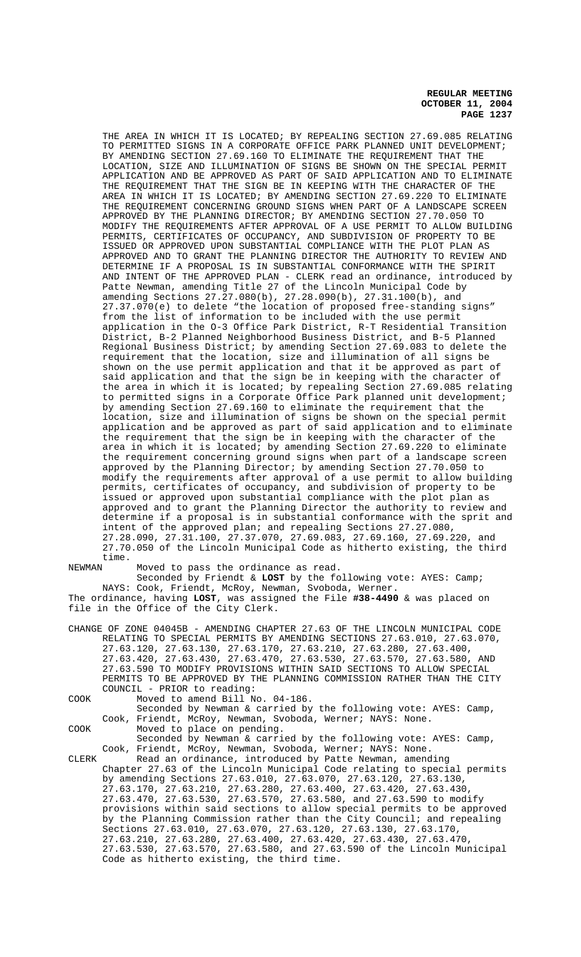THE AREA IN WHICH IT IS LOCATED; BY REPEALING SECTION 27.69.085 RELATING TO PERMITTED SIGNS IN A CORPORATE OFFICE PARK PLANNED UNIT DEVELOPMENT; BY AMENDING SECTION 27.69.160 TO ELIMINATE THE REQUIREMENT THAT THE LOCATION, SIZE AND ILLUMINATION OF SIGNS BE SHOWN ON THE SPECIAL PERMIT APPLICATION AND BE APPROVED AS PART OF SAID APPLICATION AND TO ELIMINATE THE REQUIREMENT THAT THE SIGN BE IN KEEPING WITH THE CHARACTER OF THE AREA IN WHICH IT IS LOCATED; BY AMENDING SECTION 27.69.220 TO ELIMINATE THE REQUIREMENT CONCERNING GROUND SIGNS WHEN PART OF A LANDSCAPE SCREEN APPROVED BY THE PLANNING DIRECTOR; BY AMENDING SECTION 27.70.050 TO MODIFY THE REQUIREMENTS AFTER APPROVAL OF A USE PERMIT TO ALLOW BUILDING PERMITS, CERTIFICATES OF OCCUPANCY, AND SUBDIVISION OF PROPERTY TO BE ISSUED OR APPROVED UPON SUBSTANTIAL COMPLIANCE WITH THE PLOT PLAN AS APPROVED AND TO GRANT THE PLANNING DIRECTOR THE AUTHORITY TO REVIEW AND DETERMINE IF A PROPOSAL IS IN SUBSTANTIAL CONFORMANCE WITH THE SPIRIT AND INTENT OF THE APPROVED PLAN - CLERK read an ordinance, introduced by Patte Newman, amending Title 27 of the Lincoln Municipal Code by amending Sections 27.27.080(b), 27.28.090(b), 27.31.100(b), and 27.37.070(e) to delete "the location of proposed free-standing signs" from the list of information to be included with the use permit application in the O-3 Office Park District, R-T Residential Transition District, B-2 Planned Neighborhood Business District, and B-5 Planned Regional Business District; by amending Section 27.69.083 to delete the requirement that the location, size and illumination of all signs be shown on the use permit application and that it be approved as part of said application and that the sign be in keeping with the character of the area in which it is located; by repealing Section 27.69.085 relating to permitted signs in a Corporate Office Park planned unit development; by amending Section 27.69.160 to eliminate the requirement that the location, size and illumination of signs be shown on the special permit application and be approved as part of said application and to eliminate the requirement that the sign be in keeping with the character of the area in which it is located; by amending Section 27.69.220 to eliminate the requirement concerning ground signs when part of a landscape screen approved by the Planning Director; by amending Section 27.70.050 to modify the requirements after approval of a use permit to allow building permits, certificates of occupancy, and subdivision of property to be issued or approved upon substantial compliance with the plot plan as approved and to grant the Planning Director the authority to review and determine if a proposal is in substantial conformance with the sprit and intent of the approved plan; and repealing Sections 27.27.080, 27.28.090, 27.31.100, 27.37.070, 27.69.083, 27.69.160, 27.69.220, and 27.70.050 of the Lincoln Municipal Code as hitherto existing, the third

time.<br>NEWMAN

Moved to pass the ordinance as read.

Seconded by Friendt & **LOST** by the following vote: AYES: Camp; NAYS: Cook, Friendt, McRoy, Newman, Svoboda, Werner. The ordinance, having **LOST**, was assigned the File **#38-4490** & was placed on file in the Office of the City Clerk.

- CHANGE OF ZONE 04045B AMENDING CHAPTER 27.63 OF THE LINCOLN MUNICIPAL CODE RELATING TO SPECIAL PERMITS BY AMENDING SECTIONS 27.63.010, 27.63.070, 27.63.120, 27.63.130, 27.63.170, 27.63.210, 27.63.280, 27.63.400, 27.63.420, 27.63.430, 27.63.470, 27.63.530, 27.63.570, 27.63.580, AND 27.63.590 TO MODIFY PROVISIONS WITHIN SAID SECTIONS TO ALLOW SPECIAL PERMITS TO BE APPROVED BY THE PLANNING COMMISSION RATHER THAN THE CITY COUNCIL - PRIOR to reading:
- COOK Moved to amend Bill No. 04-186. Seconded by Newman & carried by the following vote: AYES: Camp, Cook, Friendt, McRoy, Newman, Svoboda, Werner; NAYS: None. COOK Moved to place on pending. Seconded by Newman & carried by the following vote: AYES: Camp,

Cook, Friendt, McRoy, Newman, Svoboda, Werner; NAYS: None. CLERK Read an ordinance, introduced by Patte Newman, amending Chapter 27.63 of the Lincoln Municipal Code relating to special permits by amending Sections 27.63.010, 27.63.070, 27.63.120, 27.63.130, 27.63.170, 27.63.210, 27.63.280, 27.63.400, 27.63.420, 27.63.430, 27.63.470, 27.63.530, 27.63.570, 27.63.580, and 27.63.590 to modify provisions within said sections to allow special permits to be approved by the Planning Commission rather than the City Council; and repealing Sections 27.63.010, 27.63.070, 27.63.120, 27.63.130, 27.63.170, 27.63.210, 27.63.280, 27.63.400, 27.63.420, 27.63.430, 27.63.470, 27.63.530, 27.63.570, 27.63.580, and 27.63.590 of the Lincoln Municipal Code as hitherto existing, the third time.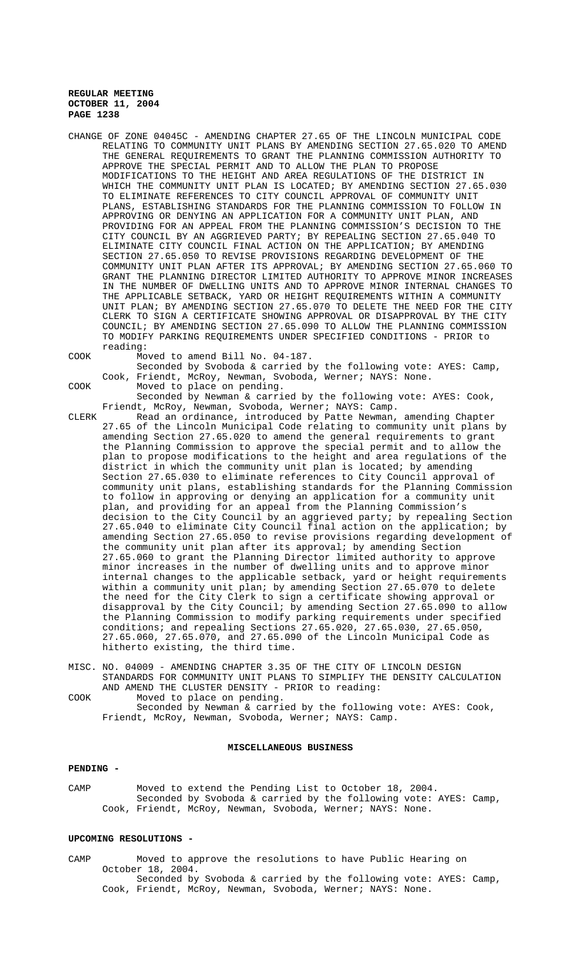- CHANGE OF ZONE 04045C AMENDING CHAPTER 27.65 OF THE LINCOLN MUNICIPAL CODE RELATING TO COMMUNITY UNIT PLANS BY AMENDING SECTION 27.65.020 TO AMEND THE GENERAL REQUIREMENTS TO GRANT THE PLANNING COMMISSION AUTHORITY TO APPROVE THE SPECIAL PERMIT AND TO ALLOW THE PLAN TO PROPOSE MODIFICATIONS TO THE HEIGHT AND AREA REGULATIONS OF THE DISTRICT IN WHICH THE COMMUNITY UNIT PLAN IS LOCATED; BY AMENDING SECTION 27.65.030 TO ELIMINATE REFERENCES TO CITY COUNCIL APPROVAL OF COMMUNITY UNIT PLANS, ESTABLISHING STANDARDS FOR THE PLANNING COMMISSION TO FOLLOW IN APPROVING OR DENYING AN APPLICATION FOR A COMMUNITY UNIT PLAN, AND PROVIDING FOR AN APPEAL FROM THE PLANNING COMMISSION'S DECISION TO THE CITY COUNCIL BY AN AGGRIEVED PARTY; BY REPEALING SECTION 27.65.040 TO ELIMINATE CITY COUNCIL FINAL ACTION ON THE APPLICATION; BY AMENDING SECTION 27.65.050 TO REVISE PROVISIONS REGARDING DEVELOPMENT OF THE COMMUNITY UNIT PLAN AFTER ITS APPROVAL; BY AMENDING SECTION 27.65.060 TO GRANT THE PLANNING DIRECTOR LIMITED AUTHORITY TO APPROVE MINOR INCREASES IN THE NUMBER OF DWELLING UNITS AND TO APPROVE MINOR INTERNAL CHANGES TO THE APPLICABLE SETBACK, YARD OR HEIGHT REQUIREMENTS WITHIN A COMMUNITY UNIT PLAN; BY AMENDING SECTION 27.65.070 TO DELETE THE NEED FOR THE CITY CLERK TO SIGN A CERTIFICATE SHOWING APPROVAL OR DISAPPROVAL BY THE CITY COUNCIL; BY AMENDING SECTION 27.65.090 TO ALLOW THE PLANNING COMMISSION TO MODIFY PARKING REQUIREMENTS UNDER SPECIFIED CONDITIONS - PRIOR to reading:
- COOK Moved to amend Bill No. 04-187.

COOK Moved to place on pending. Seconded by Newman & carried by the following vote: AYES: Cook, Friendt, McRoy, Newman, Svoboda, Werner; NAYS: Camp.

Cook, Friendt, McRoy, Newman, Svoboda, Werner; NAYS: None.

Seconded by Svoboda & carried by the following vote: AYES: Camp,

CLERK Read an ordinance, introduced by Patte Newman, amending Chapter 27.65 of the Lincoln Municipal Code relating to community unit plans by amending Section 27.65.020 to amend the general requirements to grant the Planning Commission to approve the special permit and to allow the plan to propose modifications to the height and area regulations of the district in which the community unit plan is located; by amending Section 27.65.030 to eliminate references to City Council approval of community unit plans, establishing standards for the Planning Commission to follow in approving or denying an application for a community unit plan, and providing for an appeal from the Planning Commission's decision to the City Council by an aggrieved party; by repealing Section 27.65.040 to eliminate City Council final action on the application; by amending Section 27.65.050 to revise provisions regarding development of the community unit plan after its approval; by amending Section 27.65.060 to grant the Planning Director limited authority to approve minor increases in the number of dwelling units and to approve minor internal changes to the applicable setback, yard or height requirements within a community unit plan; by amending Section 27.65.070 to delete the need for the City Clerk to sign a certificate showing approval or disapproval by the City Council; by amending Section 27.65.090 to allow the Planning Commission to modify parking requirements under specified conditions; and repealing Sections  $27.65.020$ ,  $27.65.030$ ,  $27.65.050$ , 27.65.060, 27.65.070, and 27.65.090 of the Lincoln Municipal Code as hitherto existing, the third time.

MISC. NO. 04009 - AMENDING CHAPTER 3.35 OF THE CITY OF LINCOLN DESIGN STANDARDS FOR COMMUNITY UNIT PLANS TO SIMPLIFY THE DENSITY CALCULATION AND AMEND THE CLUSTER DENSITY - PRIOR to reading: COOK Moved to place on pending.

Seconded by Newman & carried by the following vote: AYES: Cook, Friendt, McRoy, Newman, Svoboda, Werner; NAYS: Camp.

#### **MISCELLANEOUS BUSINESS**

## **PENDING -**

CAMP Moved to extend the Pending List to October 18, 2004. Seconded by Svoboda & carried by the following vote: AYES: Camp, Cook, Friendt, McRoy, Newman, Svoboda, Werner; NAYS: None.

## **UPCOMING RESOLUTIONS -**

CAMP Moved to approve the resolutions to have Public Hearing on October 18, 2004. Seconded by Svoboda & carried by the following vote: AYES: Camp, Cook, Friendt, McRoy, Newman, Svoboda, Werner; NAYS: None.